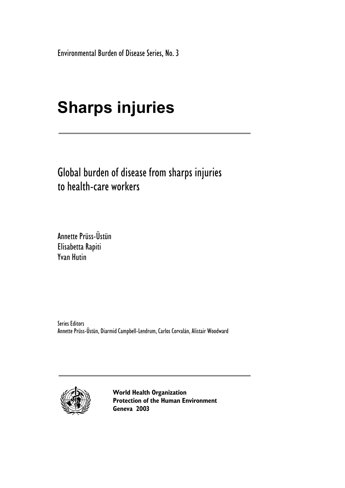Environmental Burden of Disease Series, No. 3

# **Sharps injuries**

Global burden of disease from sharps injuries to health-care workers

Annette Prüss-Üstün Elisabetta Rapiti Yvan Hutin

Series Editors Annette Prüss-Üstün, Diarmid Campbell-Lendrum, Carlos Corvalán, Alistair Woodward



**World Health Organization Protection of the Human Environment Geneva 2003**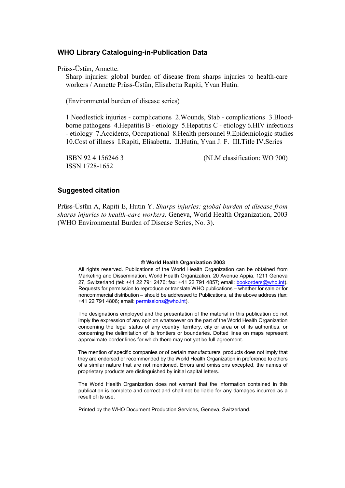#### **WHO Library Cataloguing-in-Publication Data**

Prüss-Üstün, Annette.

Sharp injuries: global burden of disease from sharps injuries to health-care workers / Annette Prüss-Üstün, Elisabetta Rapiti, Yvan Hutin.

(Environmental burden of disease series)

1.Needlestick injuries - complications 2.Wounds, Stab - complications 3.Bloodborne pathogens 4.Hepatitis B - etiology 5.Hepatitis C - etiology 6.HIV infections - etiology 7.Accidents, Occupational 8.Health personnel 9.Epidemiologic studies 10.Cost of illness I.Rapiti, Elisabetta. II.Hutin, Yvan J. F. III.Title IV.Series

ISSN 1728-1652

ISBN 92 4 156246 3 (NLM classification: WO 700)

#### **Suggested citation**

Prüss-Üstün A, Rapiti E, Hutin Y. *Sharps injuries: global burden of disease from sharps injuries to health-care workers.* Geneva, World Health Organization, 2003 (WHO Environmental Burden of Disease Series, No. 3).

#### **© World Health Organization 2003**

All rights reserved. Publications of the World Health Organization can be obtained from Marketing and Dissemination, World Health Organization, 20 Avenue Appia, 1211 Geneva 27, Switzerland (tel: +41 22 791 2476; fax: +41 22 791 4857; email: bookorders@who.int). Requests for permission to reproduce or translate WHO publications – whether for sale or for noncommercial distribution – should be addressed to Publications, at the above address (fax: +41 22 791 4806; email: permissions@who.int).

The designations employed and the presentation of the material in this publication do not imply the expression of any opinion whatsoever on the part of the World Health Organization concerning the legal status of any country, territory, city or area or of its authorities, or concerning the delimitation of its frontiers or boundaries. Dotted lines on maps represent approximate border lines for which there may not yet be full agreement.

The mention of specific companies or of certain manufacturers' products does not imply that they are endorsed or recommended by the World Health Organization in preference to others of a similar nature that are not mentioned. Errors and omissions excepted, the names of proprietary products are distinguished by initial capital letters.

The World Health Organization does not warrant that the information contained in this publication is complete and correct and shall not be liable for any damages incurred as a result of its use.

Printed by the WHO Document Production Services, Geneva, Switzerland.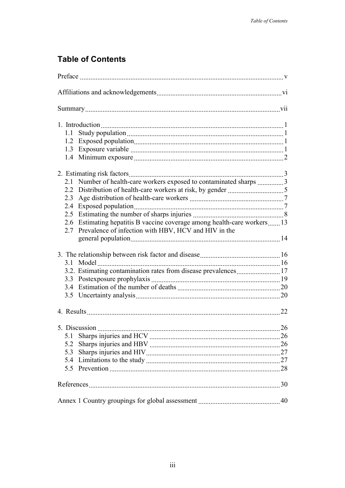# **Table of Contents**

| Number of health-care workers exposed to contaminated sharps 3<br>2.1    |    |
|--------------------------------------------------------------------------|----|
|                                                                          |    |
| 2.3                                                                      |    |
| 2.4                                                                      |    |
|                                                                          |    |
| 2.6 Estimating hepatitis B vaccine coverage among health-care workers 13 |    |
| 2.7 Prevalence of infection with HBV, HCV and HIV in the                 |    |
|                                                                          |    |
|                                                                          |    |
|                                                                          |    |
| 3.2. Estimating contamination rates from disease prevalences17           |    |
|                                                                          |    |
|                                                                          |    |
|                                                                          |    |
|                                                                          | 22 |
|                                                                          | 26 |
| 5.1                                                                      | 26 |
| 5.2                                                                      |    |
| 5.3                                                                      |    |
| 5.4                                                                      |    |
| 5.5                                                                      |    |
|                                                                          |    |
|                                                                          |    |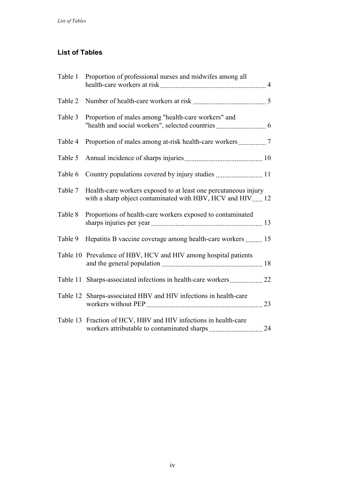## **List of Tables**

|         | Table 1 Proportion of professional nurses and midwifes among all                                                             |  |
|---------|------------------------------------------------------------------------------------------------------------------------------|--|
| Table 2 |                                                                                                                              |  |
| Table 3 | Proportion of males among "health-care workers" and                                                                          |  |
| Table 4 |                                                                                                                              |  |
| Table 5 |                                                                                                                              |  |
| Table 6 |                                                                                                                              |  |
| Table 7 | Health-care workers exposed to at least one percutaneous injury<br>with a sharp object contaminated with HBV, HCV and HIV 12 |  |
| Table 8 | Proportions of health-care workers exposed to contaminated                                                                   |  |
| Table 9 | Hepatitis B vaccine coverage among health-care workers  15                                                                   |  |
|         | Table 10 Prevalence of HBV, HCV and HIV among hospital patients                                                              |  |
|         |                                                                                                                              |  |
|         | Table 12 Sharps-associated HBV and HIV infections in health-care                                                             |  |
|         | Table 13 Fraction of HCV, HBV and HIV infections in health-care                                                              |  |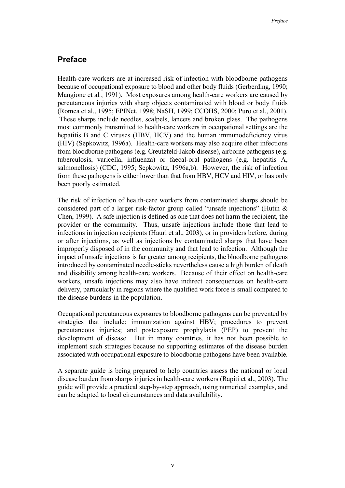## **Preface**

Health-care workers are at increased risk of infection with bloodborne pathogens because of occupational exposure to blood and other body fluids (Gerberding, 1990; Mangione et al*.*, 1991). Most exposures among health-care workers are caused by percutaneous injuries with sharp objects contaminated with blood or body fluids (Romea et al., 1995; EPINet, 1998; NaSH, 1999; CCOHS, 2000; Puro et al., 2001). These sharps include needles, scalpels, lancets and broken glass. The pathogens most commonly transmitted to health-care workers in occupational settings are the hepatitis B and C viruses (HBV, HCV) and the human immunodeficiency virus (HIV) (Sepkowitz, 1996a). Health-care workers may also acquire other infections from bloodborne pathogens (e.g. Creutzfeld-Jakob disease), airborne pathogens (e.g. tuberculosis, varicella, influenza) or faecal-oral pathogens (e.g. hepatitis A, salmonellosis) (CDC, 1995; Sepkowitz, 1996a,b). However, the risk of infection from these pathogens is either lower than that from HBV, HCV and HIV, or has only been poorly estimated.

The risk of infection of health-care workers from contaminated sharps should be considered part of a larger risk-factor group called "unsafe injections" (Hutin & Chen, 1999). A safe injection is defined as one that does not harm the recipient, the provider or the community. Thus, unsafe injections include those that lead to infections in injection recipients (Hauri et al., 2003), or in providers before, during or after injections, as well as injections by contaminated sharps that have been improperly disposed of in the community and that lead to infection. Although the impact of unsafe injections is far greater among recipients, the bloodborne pathogens introduced by contaminated needle-sticks nevertheless cause a high burden of death and disability among health-care workers. Because of their effect on health-care workers, unsafe injections may also have indirect consequences on health-care delivery, particularly in regions where the qualified work force is small compared to the disease burdens in the population.

Occupational percutaneous exposures to bloodborne pathogens can be prevented by strategies that include: immunization against HBV; procedures to prevent percutaneous injuries; and postexposure prophylaxis (PEP) to prevent the development of disease. But in many countries, it has not been possible to implement such strategies because no supporting estimates of the disease burden associated with occupational exposure to bloodborne pathogens have been available.

A separate guide is being prepared to help countries assess the national or local disease burden from sharps injuries in health-care workers (Rapiti et al., 2003). The guide will provide a practical step-by-step approach, using numerical examples, and can be adapted to local circumstances and data availability.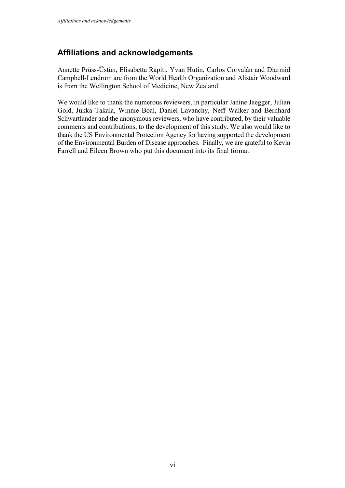## **Affiliations and acknowledgements**

Annette Prüss-Üstün, Elisabetta Rapiti, Yvan Hutin, Carlos Corvalán and Diarmid Campbell-Lendrum are from the World Health Organization and Alistair Woodward is from the Wellington School of Medicine, New Zealand.

We would like to thank the numerous reviewers, in particular Janine Jaegger, Julian Gold, Jukka Takala, Winnie Boal, Daniel Lavanchy, Neff Walker and Bernhard Schwartlander and the anonymous reviewers, who have contributed, by their valuable comments and contributions, to the development of this study. We also would like to thank the US Environmental Protection Agency for having supported the development of the Environmental Burden of Disease approaches. Finally, we are grateful to Kevin Farrell and Eileen Brown who put this document into its final format.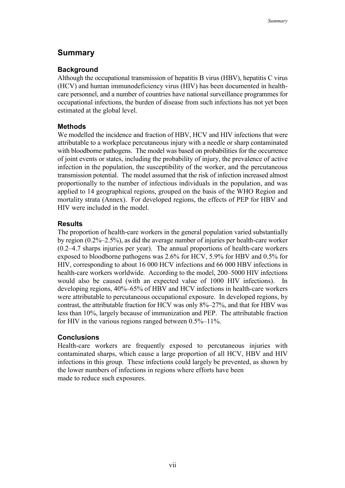## **Summary**

## **Background**

Although the occupational transmission of hepatitis B virus (HBV), hepatitis C virus (HCV) and human immunodeficiency virus (HIV) has been documented in healthcare personnel, and a number of countries have national surveillance programmes for occupational infections, the burden of disease from such infections has not yet been estimated at the global level.

## **Methods**

We modelled the incidence and fraction of HBV, HCV and HIV infections that were attributable to a workplace percutaneous injury with a needle or sharp contaminated with bloodborne pathogens. The model was based on probabilities for the occurrence of joint events or states, including the probability of injury, the prevalence of active infection in the population, the susceptibility of the worker, and the percutaneous transmission potential. The model assumed that the risk of infection increased almost proportionally to the number of infectious individuals in the population, and was applied to 14 geographical regions, grouped on the basis of the WHO Region and mortality strata (Annex). For developed regions, the effects of PEP for HBV and HIV were included in the model.

## **Results**

The proportion of health-care workers in the general population varied substantially by region (0.2%–2.5%), as did the average number of injuries per health-care worker (0.2–4.7 sharps injuries per year). The annual proportions of health-care workers exposed to bloodborne pathogens was 2.6% for HCV, 5.9% for HBV and 0.5% for HIV, corresponding to about 16 000 HCV infections and 66 000 HBV infections in health-care workers worldwide. According to the model, 200–5000 HIV infections would also be caused (with an expected value of 1000 HIV infections). In developing regions, 40%–65% of HBV and HCV infections in health-care workers were attributable to percutaneous occupational exposure. In developed regions, by contrast, the attributable fraction for HCV was only 8%–27%, and that for HBV was less than 10%, largely because of immunization and PEP. The attributable fraction for HIV in the various regions ranged between 0.5%–11%.

## **Conclusions**

Health-care workers are frequently exposed to percutaneous injuries with contaminated sharps, which cause a large proportion of all HCV, HBV and HIV infections in this group. These infections could largely be prevented, as shown by the lower numbers of infections in regions where efforts have been made to reduce such exposures.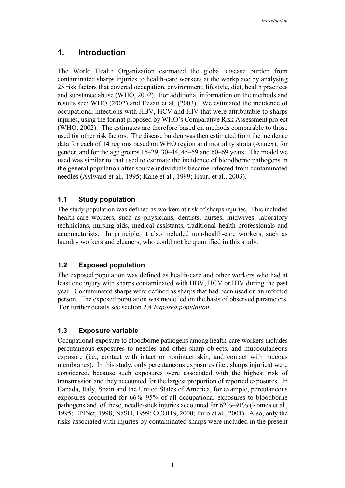## **1. Introduction**

The World Health Organization estimated the global disease burden from contaminated sharps injuries to health-care workers at the workplace by analysing 25 risk factors that covered occupation, environment, lifestyle, diet, health practices and substance abuse (WHO, 2002). For additional information on the methods and results see: WHO (2002) and Ezzati et al. (2003). We estimated the incidence of occupational infections with HBV, HCV and HIV that were attributable to sharps injuries, using the format proposed by WHO's Comparative Risk Assessment project (WHO, 2002). The estimates are therefore based on methods comparable to those used for other risk factors. The disease burden was then estimated from the incidence data for each of 14 regions based on WHO region and mortality strata (Annex), for gender, and for the age groups 15–29, 30–44, 45–59 and 60–69 years. The model we used was similar to that used to estimate the incidence of bloodborne pathogens in the general population after source individuals became infected from contaminated needles (Aylward et al*.*, 1995; Kane et al*.*, 1999; Hauri et al., 2003).

## **1.1 Study population**

The study population was defined as workers at risk of sharps injuries. This included health-care workers, such as physicians, dentists, nurses, midwives, laboratory technicians, nursing aids, medical assistants, traditional health professionals and acupuncturists. In principle, it also included non-health-care workers, such as laundry workers and cleaners, who could not be quantified in this study.

## **1.2 Exposed population**

The exposed population was defined as health-care and other workers who had at least one injury with sharps contaminated with HBV, HCV or HIV during the past year. Contaminated sharps were defined as sharps that had been used on an infected person. The exposed population was modelled on the basis of observed parameters. For further details see section 2.4 *Exposed population*.

## **1.3 Exposure variable**

Occupational exposure to bloodborne pathogens among health-care workers includes percutaneous exposures to needles and other sharp objects, and mucocutaneous exposure (i.e., contact with intact or nonintact skin, and contact with mucous membranes). In this study, only percutaneous exposures (i.e., sharps injuries) were considered, because such exposures were associated with the highest risk of transmission and they accounted for the largest proportion of reported exposures. In Canada, Italy, Spain and the United States of America, for example, percutaneous exposures accounted for 66%–95% of all occupational exposures to bloodborne pathogens and, of these, needle-stick injuries accounted for 62%–91% (Romea et al., 1995; EPINet, 1998; NaSH, 1999; CCOHS, 2000; Puro et al., 2001). Also, only the risks associated with injuries by contaminated sharps were included in the present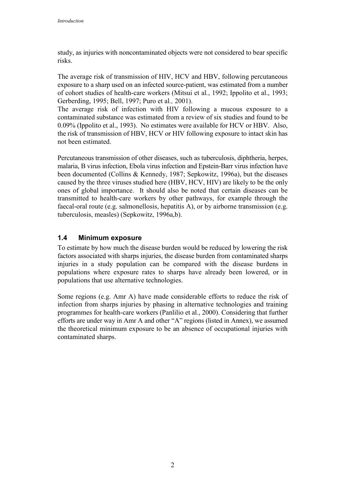study, as injuries with noncontaminated objects were not considered to bear specific risks.

The average risk of transmission of HIV, HCV and HBV, following percutaneous exposure to a sharp used on an infected source-patient, was estimated from a number of cohort studies of health-care workers (Mitsui et al*.*, 1992; Ippolito et al., 1993; Gerberding, 1995; Bell, 1997; Puro et al*.,* 2001).

The average risk of infection with HIV following a mucous exposure to a contaminated substance was estimated from a review of six studies and found to be 0.09% (Ippolito et al., 1993). No estimates were available for HCV or HBV. Also, the risk of transmission of HBV, HCV or HIV following exposure to intact skin has not been estimated.

Percutaneous transmission of other diseases, such as tuberculosis, diphtheria, herpes, malaria, B virus infection, Ebola virus infection and Epstein-Barr virus infection have been documented (Collins & Kennedy, 1987; Sepkowitz, 1996a), but the diseases caused by the three viruses studied here (HBV, HCV, HIV) are likely to be the only ones of global importance. It should also be noted that certain diseases can be transmitted to health-care workers by other pathways, for example through the faecal-oral route (e.g. salmonellosis, hepatitis A), or by airborne transmission (e.g. tuberculosis, measles) (Sepkowitz, 1996a,b).

## **1.4 Minimum exposure**

To estimate by how much the disease burden would be reduced by lowering the risk factors associated with sharps injuries, the disease burden from contaminated sharps injuries in a study population can be compared with the disease burdens in populations where exposure rates to sharps have already been lowered, or in populations that use alternative technologies.

Some regions (e.g. Amr A) have made considerable efforts to reduce the risk of infection from sharps injuries by phasing in alternative technologies and training programmes for health-care workers (Panlilio et al*.*, 2000). Considering that further efforts are under way in Amr A and other "A" regions (listed in Annex), we assumed the theoretical minimum exposure to be an absence of occupational injuries with contaminated sharps.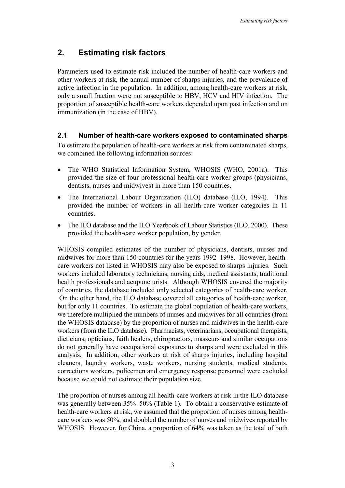## **2. Estimating risk factors**

Parameters used to estimate risk included the number of health-care workers and other workers at risk, the annual number of sharps injuries, and the prevalence of active infection in the population. In addition, among health-care workers at risk, only a small fraction were not susceptible to HBV, HCV and HIV infection. The proportion of susceptible health-care workers depended upon past infection and on immunization (in the case of HBV).

## **2.1 Number of health-care workers exposed to contaminated sharps**

To estimate the population of health-care workers at risk from contaminated sharps, we combined the following information sources:

- The WHO Statistical Information System, WHOSIS (WHO, 2001a). This provided the size of four professional health-care worker groups (physicians, dentists, nurses and midwives) in more than 150 countries.
- The International Labour Organization (ILO) database (ILO, 1994). This provided the number of workers in all health-care worker categories in 11 countries.
- The ILO database and the ILO Yearbook of Labour Statistics (ILO, 2000). These provided the health-care worker population, by gender.

WHOSIS compiled estimates of the number of physicians, dentists, nurses and midwives for more than 150 countries for the years 1992–1998. However, healthcare workers not listed in WHOSIS may also be exposed to sharps injuries. Such workers included laboratory technicians, nursing aids, medical assistants, traditional health professionals and acupuncturists. Although WHOSIS covered the majority of countries, the database included only selected categories of health-care worker. On the other hand, the ILO database covered all categories of health-care worker, but for only 11 countries. To estimate the global population of health-care workers, we therefore multiplied the numbers of nurses and midwives for all countries (from the WHOSIS database) by the proportion of nurses and midwives in the health-care workers (from the ILO database). Pharmacists, veterinarians, occupational therapists, dieticians, opticians, faith healers, chiropractors, masseurs and similar occupations do not generally have occupational exposures to sharps and were excluded in this analysis. In addition, other workers at risk of sharps injuries, including hospital cleaners, laundry workers, waste workers, nursing students, medical students, corrections workers, policemen and emergency response personnel were excluded because we could not estimate their population size.

The proportion of nurses among all health-care workers at risk in the ILO database was generally between 35%–50% (Table 1). To obtain a conservative estimate of health-care workers at risk, we assumed that the proportion of nurses among healthcare workers was 50%, and doubled the number of nurses and midwives reported by WHOSIS. However, for China, a proportion of 64% was taken as the total of both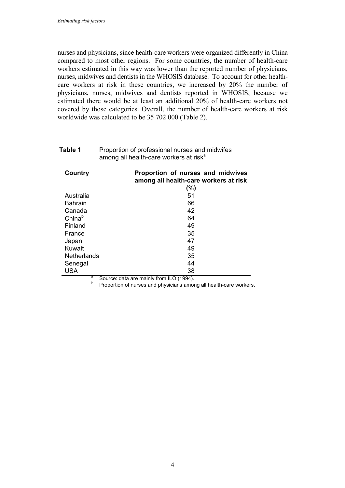nurses and physicians, since health-care workers were organized differently in China compared to most other regions. For some countries, the number of health-care workers estimated in this way was lower than the reported number of physicians, nurses, midwives and dentists in the WHOSIS database. To account for other healthcare workers at risk in these countries, we increased by 20% the number of physicians, nurses, midwives and dentists reported in WHOSIS, because we estimated there would be at least an additional 20% of health-care workers not covered by those categories. Overall, the number of health-care workers at risk worldwide was calculated to be 35 702 000 (Table 2).

| Table 1 | Proportion of professional nurses and midwifes     |
|---------|----------------------------------------------------|
|         | among all health-care workers at risk <sup>a</sup> |

| Country            | Proportion of nurses and midwives<br>among all health-care workers at risk |
|--------------------|----------------------------------------------------------------------------|
|                    | (%)                                                                        |
| Australia          | 51                                                                         |
| <b>Bahrain</b>     | 66                                                                         |
| Canada             | 42                                                                         |
| China <sup>b</sup> | 64                                                                         |
| Finland            | 49                                                                         |
| France             | 35                                                                         |
| Japan              | 47                                                                         |
| Kuwait             | 49                                                                         |
| <b>Netherlands</b> | 35                                                                         |
| Senegal            | 44                                                                         |
| <b>USA</b>         | 38                                                                         |
| а                  | $C_{\text{SUTX}}$ deta are mainly from $\parallel$ $\cap$ $(4004)$         |

<sup>9</sup> Source: data are mainly from ILO (1994).<br><sup>b</sup> Proportion of nurses and physicians among all health-care workers.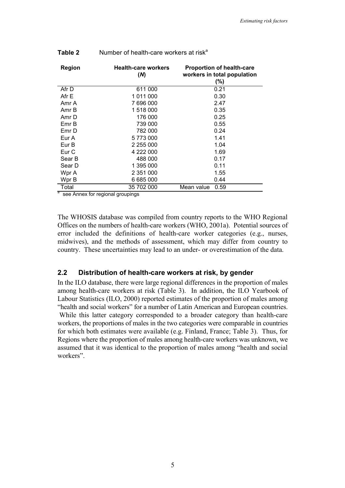| <b>Region</b> | <b>Health-care workers</b><br>(M) | <b>Proportion of health-care</b><br>workers in total population<br>(%) |
|---------------|-----------------------------------|------------------------------------------------------------------------|
| Afr D         | 611 000                           | 0.21                                                                   |
| Afr E         | 1 011 000                         | 0.30                                                                   |
| Amr A         | 7 696 000                         | 2.47                                                                   |
| Amr B         | 1 518 000                         | 0.35                                                                   |
| Amr D         | 176 000                           | 0.25                                                                   |
| Emr B         | 739 000                           | 0.55                                                                   |
| Emr D         | 782 000                           | 0.24                                                                   |
| Eur A         | 5773000                           | 1.41                                                                   |
| Eur B         | 2 255 000                         | 1.04                                                                   |
| Eur C         | 4 222 000                         | 1.69                                                                   |
| Sear B        | 488 000                           | 0.17                                                                   |
| Sear D        | 1 395 000                         | 0.11                                                                   |
| Wpr A         | 2 351 000                         | 1.55                                                                   |
| Wpr B         | 6 685 000                         | 0.44                                                                   |
| Total         | 35 702 000                        | Mean value<br>0.59                                                     |

#### **Table 2** Number of health-care workers at risk<sup>a</sup>

<sup>a</sup> see Annex for regional groupings

The WHOSIS database was compiled from country reports to the WHO Regional Offices on the numbers of health-care workers (WHO, 2001a). Potential sources of error included the definitions of health-care worker categories (e.g., nurses, midwives), and the methods of assessment, which may differ from country to country. These uncertainties may lead to an under- or overestimation of the data.

#### **2.2 Distribution of health-care workers at risk, by gender**

In the ILO database, there were large regional differences in the proportion of males among health-care workers at risk (Table 3). In addition, the ILO Yearbook of Labour Statistics (ILO, 2000) reported estimates of the proportion of males among "health and social workers" for a number of Latin American and European countries. While this latter category corresponded to a broader category than health-care workers, the proportions of males in the two categories were comparable in countries for which both estimates were available (e.g. Finland, France; Table 3). Thus, for Regions where the proportion of males among health-care workers was unknown, we assumed that it was identical to the proportion of males among "health and social workers".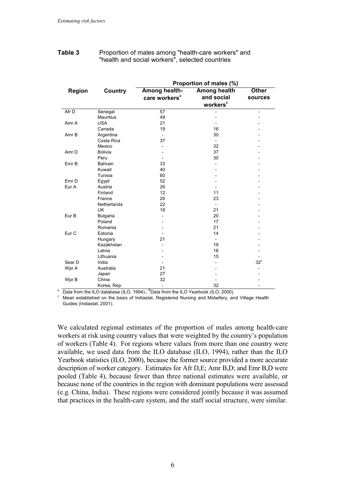| Table 3 | Proportion of males among "health-care workers" and |
|---------|-----------------------------------------------------|
|         | "health and social workers", selected countries     |

|                  |                    |                           | Proportion of males (%)  |                |
|------------------|--------------------|---------------------------|--------------------------|----------------|
| <b>Region</b>    | <b>Country</b>     | Among health-             | <b>Among health</b>      | <b>Other</b>   |
|                  |                    | care workers <sup>a</sup> | and social               | sources        |
|                  |                    |                           | workersb                 |                |
| Afr D            | Senegal            | 57                        |                          | $\overline{a}$ |
|                  | <b>Mauritius</b>   | 49                        |                          |                |
| Amr A            | <b>USA</b>         | 21                        |                          |                |
|                  | Canada             | 19                        | 16                       |                |
| Amr B            | Argentina          | $\overline{\phantom{a}}$  | 30                       |                |
|                  | Costa Rica         | 37                        | $\overline{\phantom{0}}$ |                |
|                  | Mexico             |                           | 32                       |                |
| Amr <sub>D</sub> | <b>Bolivia</b>     |                           | 37                       |                |
|                  | Peru               |                           | 30                       |                |
| Emr B            | <b>Bahrain</b>     | 33                        |                          |                |
|                  | Kuwait             | 40                        |                          |                |
|                  | Tunisia            | 60                        |                          |                |
| Emr <sub>D</sub> | Egypt              | 52                        |                          |                |
| Eur A            | Austria            | 26                        |                          |                |
|                  | Finland            | 12                        | 11                       |                |
|                  | France             | 26                        | 23                       |                |
|                  | <b>Netherlands</b> | 22                        |                          |                |
|                  | <b>UK</b>          | 18                        | 21                       |                |
| Eur B            | Bulgaria           |                           | 20                       |                |
|                  | Poland             |                           | 17                       |                |
|                  | Romania            |                           | 21                       |                |
| Eur <sub>C</sub> | Estonia            |                           | 14                       |                |
|                  | Hungary            | 21                        | $\overline{\phantom{0}}$ |                |
|                  | Kazakhstan         | $\overline{a}$            | 19                       |                |
|                  | Latvia             |                           | 16                       |                |
|                  | Lithuania          |                           | 15                       |                |
| Sear D           | India              |                           |                          | $32^{\circ}$   |
| Wpr A            | Australia          | 21                        |                          |                |
|                  | Japan              | 27                        |                          |                |
| Wpr B            | China              | 32                        |                          |                |
|                  | Korea, Rep.        | $\overline{\phantom{a}}$  | 32                       |                |

 $\alpha$  Data from the ILO database (ILO, 1994).;  $\beta$ Data from the ILO Yearbook (ILO, 2000).

 $\degree$  Mean established on the basis of Indiastat. Registered Nursing and Midwifery, and Village Health Guides (Indiastat, 2001).

We calculated regional estimates of the proportion of males among health-care workers at risk using country values that were weighted by the country's population of workers (Table 4). For regions where values from more than one country were available, we used data from the ILO database (ILO, 1994), rather than the ILO Yearbook statistics (ILO, 2000), because the former source provided a more accurate description of worker category. Estimates for Afr D,E; Amr B,D; and Emr B,D were pooled (Table 4), because fewer than three national estimates were available, or because none of the countries in the region with dominant populations were assessed (e.g. China, India). These regions were considered jointly because it was assumed that practices in the health-care system, and the staff social structure, were similar.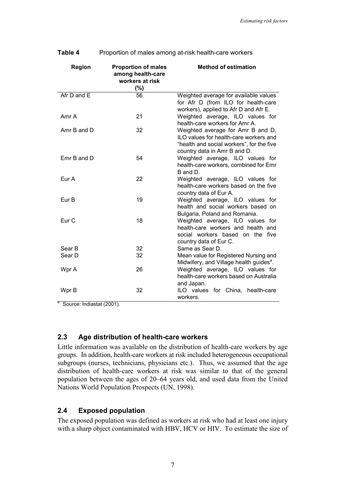| Region           | <b>Proportion of males</b><br>among health-care<br>workers at risk<br>(%) | <b>Method of estimation</b>                                                                                                                              |
|------------------|---------------------------------------------------------------------------|----------------------------------------------------------------------------------------------------------------------------------------------------------|
| Afr D and E      | 56                                                                        | Weighted average for available values<br>for Afr D (from ILO for health-care<br>workers), applied to Afr D and Afr E.                                    |
| Amr A            | 21                                                                        | Weighted average, ILO values for<br>health-care workers for Amr A.                                                                                       |
| Amr B and D      | 32                                                                        | Weighted average for Amr B and D,<br>ILO values for health-care workers and<br>"health and social workers", for the five<br>country data in Amr B and D. |
| Emr B and D      | 54                                                                        | Weighted average, ILO values for<br>health-care workers, combined for Emr<br>B and D.                                                                    |
| Eur A            | 22                                                                        | Weighted average, ILO values for<br>health-care workers based on the five<br>country data of Eur A.                                                      |
| Eur B            | 19                                                                        | Weighted average, ILO values for<br>health and social workers based on<br>Bulgaria, Poland and Romania.                                                  |
| Eur <sub>C</sub> | 18                                                                        | Weighted average, ILO values for<br>health-care workers and health and<br>social workers based on the five<br>country data of Eur C.                     |
| Sear B           | 32                                                                        | Same as Sear D.                                                                                                                                          |
| Sear D           | 32                                                                        | Mean value for Registered Nursing and<br>Midwifery, and Village health guides <sup>a</sup> .                                                             |
| Wpr A            | 26                                                                        | Weighted average, ILO values for<br>health-care workers based on Australia<br>and Japan.                                                                 |
| Wpr B            | 32                                                                        | ILO values for China, health-care<br>workers.                                                                                                            |

| Table 4 | Proportion of males among at-risk health-care workers |
|---------|-------------------------------------------------------|
|---------|-------------------------------------------------------|

<sup>a</sup> Source: Indiastat (2001).

#### **2.3 Age distribution of health-care workers**

Little information was available on the distribution of health-care workers by age groups. In addition, health-care workers at risk included heterogeneous occupational subgroups (nurses, technicians, physicians etc.). Thus, we assumed that the age distribution of health-care workers at risk was similar to that of the general population between the ages of 20–64 years old, and used data from the United Nations World Population Prospects (UN, 1998).

## **2.4 Exposed population**

The exposed population was defined as workers at risk who had at least one injury with a sharp object contaminated with HBV, HCV or HIV. To estimate the size of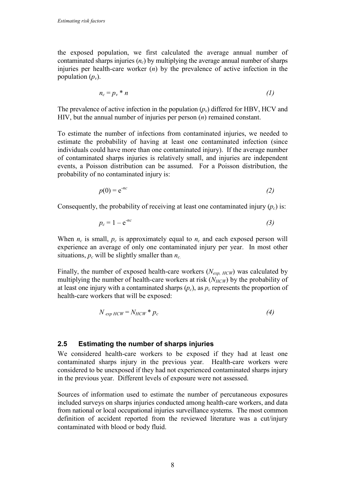the exposed population, we first calculated the average annual number of contaminated sharps injuries  $(n_c)$  by multiplying the average annual number of sharps injuries per health-care worker (*n*) by the prevalence of active infection in the population  $(p_v)$ .

$$
n_c = p_v * n \tag{1}
$$

The prevalence of active infection in the population  $(p_v)$  differed for HBV, HCV and HIV, but the annual number of injuries per person (*n*) remained constant.

To estimate the number of infections from contaminated injuries, we needed to estimate the probability of having at least one contaminated infection (since individuals could have more than one contaminated injury). If the average number of contaminated sharps injuries is relatively small, and injuries are independent events, a Poisson distribution can be assumed. For a Poisson distribution, the probability of no contaminated injury is:

$$
p(0) = e^{-nc} \tag{2}
$$

Consequently, the probability of receiving at least one contaminated injury  $(p_c)$  is:

$$
p_c = 1 - e^{-nc} \tag{3}
$$

When  $n_c$  is small,  $p_c$  is approximately equal to  $n_c$  and each exposed person will experience an average of only one contaminated injury per year. In most other situations,  $p_c$  will be slightly smaller than  $n_c$ .

Finally, the number of exposed health-care workers (*Nexp, HCW*) was calculated by multiplying the number of health-care workers at risk  $(N_{HCW})$  by the probability of at least one injury with a contaminated sharps  $(p_c)$ , as  $p_c$  represents the proportion of health-care workers that will be exposed:

$$
N_{exp HCW} = N_{HCW} * p_c \tag{4}
$$

#### **2.5 Estimating the number of sharps injuries**

We considered health-care workers to be exposed if they had at least one contaminated sharps injury in the previous year. Health-care workers were considered to be unexposed if they had not experienced contaminated sharps injury in the previous year. Different levels of exposure were not assessed.

Sources of information used to estimate the number of percutaneous exposures included surveys on sharps injuries conducted among health-care workers, and data from national or local occupational injuries surveillance systems. The most common definition of accident reported from the reviewed literature was a cut/injury contaminated with blood or body fluid.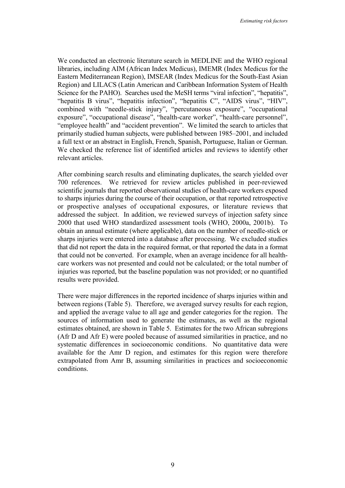We conducted an electronic literature search in MEDLINE and the WHO regional libraries, including AIM (African Index Medicus), IMEMR (Index Medicus for the Eastern Mediterranean Region), IMSEAR (Index Medicus for the South-East Asian Region) and LILACS (Latin American and Caribbean Information System of Health Science for the PAHO). Searches used the MeSH terms "viral infection", "hepatitis", "hepatitis B virus", "hepatitis infection", "hepatitis C", "AIDS virus", "HIV", combined with "needle-stick injury", "percutaneous exposure", "occupational exposure", "occupational disease", "health-care worker", "health-care personnel", "employee health" and "accident prevention". We limited the search to articles that primarily studied human subjects, were published between 1985–2001, and included a full text or an abstract in English, French, Spanish, Portuguese, Italian or German. We checked the reference list of identified articles and reviews to identify other relevant articles.

After combining search results and eliminating duplicates, the search yielded over 700 references. We retrieved for review articles published in peer-reviewed scientific journals that reported observational studies of health-care workers exposed to sharps injuries during the course of their occupation, or that reported retrospective or prospective analyses of occupational exposures, or literature reviews that addressed the subject. In addition, we reviewed surveys of injection safety since 2000 that used WHO standardized assessment tools (WHO, 2000a, 2001b). To obtain an annual estimate (where applicable), data on the number of needle-stick or sharps injuries were entered into a database after processing. We excluded studies that did not report the data in the required format, or that reported the data in a format that could not be converted. For example, when an average incidence for all healthcare workers was not presented and could not be calculated; or the total number of injuries was reported, but the baseline population was not provided; or no quantified results were provided.

There were major differences in the reported incidence of sharps injuries within and between regions (Table 5). Therefore, we averaged survey results for each region, and applied the average value to all age and gender categories for the region. The sources of information used to generate the estimates, as well as the regional estimates obtained, are shown in Table 5. Estimates for the two African subregions (Afr D and Afr E) were pooled because of assumed similarities in practice, and no systematic differences in socioeconomic conditions. No quantitative data were available for the Amr D region, and estimates for this region were therefore extrapolated from Amr B, assuming similarities in practices and socioeconomic conditions.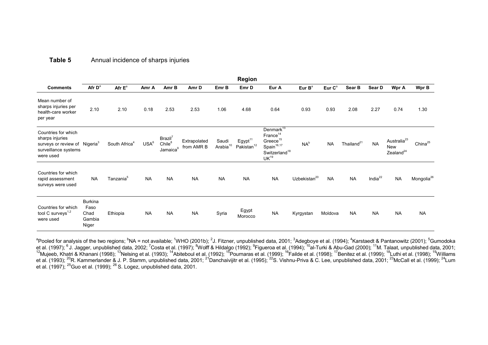#### **Table 5**Annual incidence of sharps injuries

|                                                                                                                          |                                                   |                           |                  |                                                                   |                            |                               | <b>Region</b>                                 |                                                                                                                                           |                          |                    |                        |               |                                                         |                        |
|--------------------------------------------------------------------------------------------------------------------------|---------------------------------------------------|---------------------------|------------------|-------------------------------------------------------------------|----------------------------|-------------------------------|-----------------------------------------------|-------------------------------------------------------------------------------------------------------------------------------------------|--------------------------|--------------------|------------------------|---------------|---------------------------------------------------------|------------------------|
| <b>Comments</b>                                                                                                          | Afr D <sup>a</sup>                                | Afr $E^a$                 | Amr A            | Amr B                                                             | Amr D                      | Emr B                         | Emr D                                         | Eur A                                                                                                                                     | Eur $B^a$                | Eur C <sup>a</sup> | Sear B                 | Sear D        | Wpr A                                                   | Wpr B                  |
| Mean number of<br>sharps injuries per<br>health-care worker<br>per year                                                  | 2.10                                              | 2.10                      | 0.18             | 2.53                                                              | 2.53                       | 1.06                          | 4.68                                          | 0.64                                                                                                                                      | 0.93                     | 0.93               | 2.08                   | 2.27          | 0.74                                                    | 1.30                   |
| Countries for which<br>sharps injuries<br>surveys or review of Nigeria <sup>3</sup><br>surveillance systems<br>were used |                                                   | South Africa <sup>4</sup> | USA <sup>6</sup> | Brazil <sup>7</sup><br>Chile <sup>8</sup><br>Jamaica <sup>9</sup> | Extrapolated<br>from AMR B | Saudi<br>Arabia <sup>10</sup> | Egypt <sup>11</sup><br>Pakistan <sup>12</sup> | Denmark <sup>13</sup><br>France <sup>14</sup><br>$Greeze^{15}$<br>Spain <sup>16,17</sup><br>Switzerland <sup>18</sup><br>UK <sup>19</sup> | $NA^b$                   | <b>NA</b>          | Thailand <sup>21</sup> | <b>NA</b>     | Australia <sup>23</sup><br>New<br>Zealand <sup>24</sup> | China <sup>25</sup>    |
| Countries for which<br>rapid assessment<br>surveys were used                                                             | <b>NA</b>                                         | Tanzania <sup>5</sup>     | <b>NA</b>        | <b>NA</b>                                                         | <b>NA</b>                  | <b>NA</b>                     | <b>NA</b>                                     | <b>NA</b>                                                                                                                                 | Uzbekistan <sup>20</sup> | <b>NA</b>          | <b>NA</b>              | India $^{22}$ | <b>NA</b>                                               | Mongolia <sup>26</sup> |
| Countries for which<br>tool C surveys <sup>1,2</sup><br>were used                                                        | <b>Burkina</b><br>Faso<br>Chad<br>Gambia<br>Niger | Ethiopia                  | <b>NA</b>        | <b>NA</b>                                                         | <b>NA</b>                  | Syria                         | Egypt<br>Morocco                              | <b>NA</b>                                                                                                                                 | Kyrgystan                | Moldova            | <b>NA</b>              | <b>NA</b>     | <b>NA</b>                                               | <b>NA</b>              |

 $^{\rm a}$ Pooled for analysis of the two regions;  $^{\rm b}$ NA = not available;  $^{\rm 1}$ WHO (2001b);  $^{\rm 2}$ J. Fitzner, unpublished data, 2001;  $^{\rm 3}$ Adegboye et al. (1994);  $^{\rm 4}$ Karstaedt & Pantanowitz (2001);  $^{\rm 5}$ Gu et al. (1997); <sup>6</sup> J. Jagger, unpublished data, 2002; <sup>7</sup>Costa et al. (1997); <sup>8</sup>Wolff & Hildalgo (1992); <sup>9</sup>Figueroa et al. (1994); <sup>10</sup>al-Turki & Abu-Gad (2000); <sup>11</sup>M. Talaat, unpublished data, 2001;  $^{12}$ Mujeeb, Khatri & Khanani (1998);  $^{13}$ Nelsing et al. (1993); <sup>14</sup>Abiteboul et al. (1992); <sup>15</sup>Pournaras et al. (1999); <sup>16</sup>Failde et al. (1998); <sup>17</sup>Benitez et al. (1999); <sup>18</sup>Luthi et al. (1998); <sup>19</sup>Williams et al. (1993); <sup>20</sup>R. Kammerlander & J. P. Stamm, unpublished data, 2001; <sup>21</sup>Danchaivijitr et al. (1995); <sup>22</sup>S. Vishnu-Priva & C. Lee, unpublished data, 2001; <sup>23</sup>McCall et al. (1999); <sup>24</sup>Lum et al. (1997); <sup>25</sup>Guo et al. (1999); <sup>26</sup> S. Logez, unpublished data, 2001.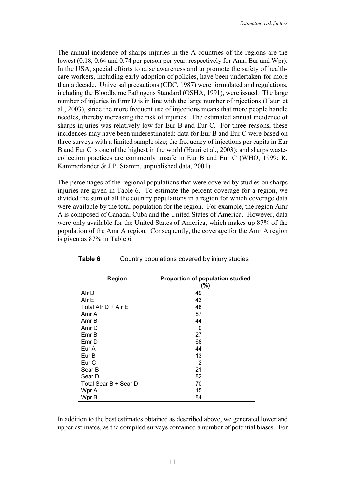The annual incidence of sharps injuries in the A countries of the regions are the lowest (0.18, 0.64 and 0.74 per person per year, respectively for Amr, Eur and Wpr). In the USA, special efforts to raise awareness and to promote the safety of healthcare workers, including early adoption of policies, have been undertaken for more than a decade. Universal precautions (CDC, 1987) were formulated and regulations, including the Bloodborne Pathogens Standard (OSHA, 1991), were issued. The large number of injuries in Emr D is in line with the large number of injections (Hauri et al., 2003), since the more frequent use of injections means that more people handle needles, thereby increasing the risk of injuries. The estimated annual incidence of sharps injuries was relatively low for Eur B and Eur C. For three reasons, these incidences may have been underestimated: data for Eur B and Eur C were based on three surveys with a limited sample size; the frequency of injections per capita in Eur B and Eur C is one of the highest in the world (Hauri et al., 2003); and sharps wastecollection practices are commonly unsafe in Eur B and Eur C (WHO, 1999; R. Kammerlander & J.P. Stamm, unpublished data, 2001).

The percentages of the regional populations that were covered by studies on sharps injuries are given in Table 6. To estimate the percent coverage for a region, we divided the sum of all the country populations in a region for which coverage data were available by the total population for the region. For example, the region Amr A is composed of Canada, Cuba and the United States of America. However, data were only available for the United States of America, which makes up 87% of the population of the Amr A region. Consequently, the coverage for the Amr A region is given as 87% in Table 6.

| <b>Region</b>         | <b>Proportion of population studied</b><br>$(\%)$ |
|-----------------------|---------------------------------------------------|
| Afr D                 | 49                                                |
| Afr E                 | 43                                                |
| Total Afr $D +$ Afr E | 48                                                |
| Amr A                 | 87                                                |
| Amr B                 | 44                                                |
| Amr D                 | 0                                                 |
| Emr B                 | 27                                                |
| Emr D                 | 68                                                |
| Eur A                 | 44                                                |
| Eur B                 | 13                                                |
| Eur C                 | 2                                                 |
| Sear B                | 21                                                |
| Sear D                | 82                                                |
| Total Sear B + Sear D | 70                                                |
| Wpr A                 | 15                                                |
| Wpr B                 | 84                                                |

#### **Table 6** Country populations covered by injury studies

In addition to the best estimates obtained as described above, we generated lower and upper estimates, as the compiled surveys contained a number of potential biases. For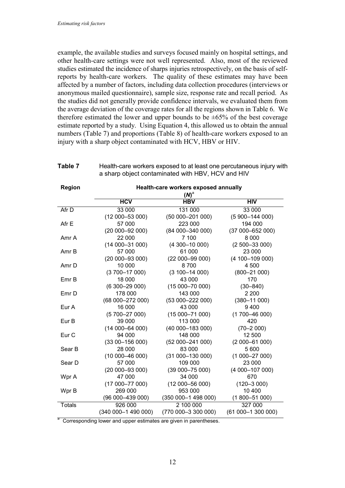example, the available studies and surveys focused mainly on hospital settings, and other health-care settings were not well represented. Also, most of the reviewed studies estimated the incidence of sharps injuries retrospectively, on the basis of selfreports by health-care workers. The quality of these estimates may have been affected by a number of factors, including data collection procedures (interviews or anonymous mailed questionnaire), sample size, response rate and recall period. As the studies did not generally provide confidence intervals, we evaluated them from the average deviation of the coverage rates for all the regions shown in Table 6. We therefore estimated the lower and upper bounds to be  $\pm 65\%$  of the best coverage estimate reported by a study. Using Equation 4, this allowed us to obtain the annual numbers (Table 7) and proportions (Table 8) of health-care workers exposed to an injury with a sharp object contaminated with HCV, HBV or HIV.

| Table 7 | Health-care workers exposed to at least one percutaneous injury with |
|---------|----------------------------------------------------------------------|
|         | a sharp object contaminated with HBV, HCV and HIV                    |

| Region           | Health-care workers exposed annually |                     |                     |  |  |  |
|------------------|--------------------------------------|---------------------|---------------------|--|--|--|
|                  |                                      | $(M)^a$             |                     |  |  |  |
|                  | <b>HCV</b>                           | <b>HBV</b>          | HIV                 |  |  |  |
| Afr D            | 33 000                               | 131 000             | 33 000              |  |  |  |
|                  | $(12000 - 53000)$                    | $(5000 - 20100)$    | $(5900 - 144000)$   |  |  |  |
| Afr E            | 57 000                               | 223 000             | 194 000             |  |  |  |
|                  | $(20000 - 92000)$                    | $(8400 - 34000)$    | $(37000 - 652000)$  |  |  |  |
| Amr A            | 22 000                               | 7 100               | 8 0 0 0             |  |  |  |
|                  | $(14000 - 31000)$                    | $(4300 - 1000)$     | $(2500 - 33000)$    |  |  |  |
| Amr B            | 57 000                               | 61 000              | 23 000              |  |  |  |
|                  | $(20000 - 93000)$                    | $(22000 - 9900)$    | $(4 100 - 109 000)$ |  |  |  |
| Amr D            | 10 000                               | 8700                | 4 500               |  |  |  |
|                  | $(3700 - 17000)$                     | $(3100 - 14000)$    | $(800 - 21000)$     |  |  |  |
| Emr B            | 18 000                               | 43 000              | 170                 |  |  |  |
|                  | $(6300 - 29000)$                     | $(15000 - 7000)$    | $(30 - 840)$        |  |  |  |
| Emr D            | 178 000                              | 143 000             | 2 2 0 0             |  |  |  |
|                  | (68 000-272 000)                     | (53 000-222 000)    | $(380 - 11000)$     |  |  |  |
| Eur A            | 16 000                               | 43 000              | 9400                |  |  |  |
|                  | $(5700 - 27000)$                     | $(15000 - 71000)$   | $(1700 - 4600)$     |  |  |  |
| Eur B            | 39 000                               | 113 000             | 420                 |  |  |  |
|                  | $(14000 - 64000)$                    | (40 000-183 000)    | $(70 - 2000)$       |  |  |  |
| Eur <sub>C</sub> | 94 000                               | 148 000             | 12 500              |  |  |  |
|                  | $(3300 - 15600)$                     | (52 000-241 000)    | $(2000 - 61000)$    |  |  |  |
| Sear B           | 28 000                               | 83 000              | 5 600               |  |  |  |
|                  | $(10000 - 4600)$                     | $(31000 - 13000)$   | $(1000 - 27000)$    |  |  |  |
| Sear D           | 57 000                               | 109 000             | 23 000              |  |  |  |
|                  | $(20000 - 93000)$                    | $(39000 - 75000)$   | $(4000 - 10700)$    |  |  |  |
| Wpr A            | 47 000                               | 34 000              | 670                 |  |  |  |
|                  | $(17000 - 77000)$                    | $(12000 - 5600)$    | $(120 - 3000)$      |  |  |  |
| Wpr B            | 269 000                              | 953 000             | 10 400              |  |  |  |
|                  | (96 000-439 000)                     | (350 000-1 498 000) | $(1800 - 51000)$    |  |  |  |
| <b>Totals</b>    | 926000                               | 2 100 000           | 327 000             |  |  |  |
|                  | $(340000 - 149000)$                  | (770 000-3 300 000) | (61 000-1 300 000)  |  |  |  |

<sup>a</sup> Corresponding lower and upper estimates are given in parentheses.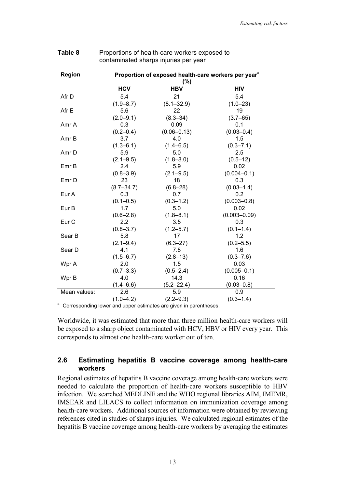| Region       | Proportion of exposed health-care workers per year <sup>®</sup> |                 |                  |  |  |  |
|--------------|-----------------------------------------------------------------|-----------------|------------------|--|--|--|
|              | (%)                                                             |                 |                  |  |  |  |
|              | <b>HCV</b>                                                      | <b>HBV</b>      | HIV              |  |  |  |
| Afr D        | $\overline{5.4}$                                                | 21              | $\overline{5.4}$ |  |  |  |
|              | $(1.9 - 8.7)$                                                   | $(8.1 - 32.9)$  | $(1.0 - 23)$     |  |  |  |
| Afr E        | 5.6                                                             | 22              | 19               |  |  |  |
|              | $(2.0 - 9.1)$                                                   | $(8.3 - 34)$    | $(3.7 - 65)$     |  |  |  |
| Amr A        | 0.3                                                             | 0.09            | 0.1              |  |  |  |
|              | $(0.2 - 0.4)$                                                   | $(0.06 - 0.13)$ | $(0.03 - 0.4)$   |  |  |  |
| Amr B        | 3.7                                                             | 4.0             | 1.5              |  |  |  |
|              | $(1.3 - 6.1)$                                                   | $(1.4 - 6.5)$   | $(0.3 - 7.1)$    |  |  |  |
| Amr D        | 5.9                                                             | 5.0             | 2.5              |  |  |  |
|              | $(2.1 - 9.5)$                                                   | $(1.8 - 8.0)$   | $(0.5 - 12)$     |  |  |  |
| Emr B        | 2.4                                                             | 5.9             | 0.02             |  |  |  |
|              | $(0.8 - 3.9)$                                                   | $(2.1 - 9.5)$   | $(0.004 - 0.1)$  |  |  |  |
| Emr D        | 23                                                              | 18              | 0.3              |  |  |  |
|              | $(8.7 - 34.7)$                                                  | $(6.8 - 28)$    | $(0.03 - 1.4)$   |  |  |  |
| Eur A        | 0.3                                                             | 0.7             | 0.2              |  |  |  |
|              | $(0.1 - 0.5)$                                                   | $(0.3 - 1.2)$   | $(0.003 - 0.8)$  |  |  |  |
| Eur B        | 1.7                                                             | 5.0             | 0.02             |  |  |  |
|              | $(0.6 - 2.8)$                                                   | $(1.8 - 8.1)$   | $(0.003 - 0.09)$ |  |  |  |
| Eur C        | 2.2                                                             | 3.5             | 0.3              |  |  |  |
|              | $(0.8 - 3.7)$                                                   | $(1.2 - 5.7)$   | $(0.1 - 1.4)$    |  |  |  |
| Sear B       | 5.8                                                             | 17              | 1.2              |  |  |  |
|              | $(2.1 - 9.4)$                                                   | $(6.3 - 27)$    | $(0.2 - 5.5)$    |  |  |  |
| Sear D       | 4.1                                                             | 7.8             | 1.6              |  |  |  |
|              | $(1.5 - 6.7)$                                                   | $(2.8 - 13)$    | $(0.3 - 7.6)$    |  |  |  |
| Wpr A        | 2.0                                                             | 1.5             | 0.03             |  |  |  |
|              | $(0.7 - 3.3)$                                                   | $(0.5 - 2.4)$   | $(0.005 - 0.1)$  |  |  |  |
| Wpr B        | 4.0                                                             | 14.3            | 0.16             |  |  |  |
|              | $(1.4 - 6.6)$                                                   | $(5.2 - 22.4)$  | $(0.03 - 0.8)$   |  |  |  |
| Mean values: | 2.6                                                             | 5.9             | 0.9              |  |  |  |
|              | $(1.0 - 4.2)$                                                   | $(2.2 - 9.3)$   | $(0.3 - 1.4)$    |  |  |  |

#### **Table 8** Proportions of health-care workers exposed to contaminated sharps injuries per year

<sup>a</sup> Corresponding lower and upper estimates are given in parentheses.

Worldwide, it was estimated that more than three million health-care workers will be exposed to a sharp object contaminated with HCV, HBV or HIV every year. This corresponds to almost one health-care worker out of ten.

## **2.6 Estimating hepatitis B vaccine coverage among health-care workers**

Regional estimates of hepatitis B vaccine coverage among health-care workers were needed to calculate the proportion of health-care workers susceptible to HBV infection. We searched MEDLINE and the WHO regional libraries AIM, IMEMR, IMSEAR and LILACS to collect information on immunization coverage among health-care workers. Additional sources of information were obtained by reviewing references cited in studies of sharps injuries. We calculated regional estimates of the hepatitis B vaccine coverage among health-care workers by averaging the estimates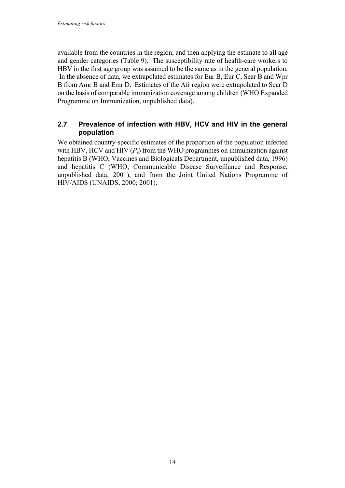available from the countries in the region, and then applying the estimate to all age and gender categories (Table 9). The susceptibility rate of health-care workers to HBV in the first age group was assumed to be the same as in the general population. In the absence of data, we extrapolated estimates for Eur B, Eur C, Sear B and Wpr B from Amr B and Emr D. Estimates of the Afr region were extrapolated to Sear D on the basis of comparable immunization coverage among children (WHO Expanded Programme on Immunization, unpublished data).

## **2.7 Prevalence of infection with HBV, HCV and HIV in the general population**

We obtained country-specific estimates of the proportion of the population infected with HBV, HCV and HIV  $(P_v)$  from the WHO programmes on immunization against hepatitis B (WHO, Vaccines and Biologicals Department, unpublished data, 1996) and hepatitis C (WHO, Communicable Disease Surveillance and Response, unpublished data, 2001), and from the Joint United Nations Programme of HIV/AIDS (UNAIDS, 2000; 2001).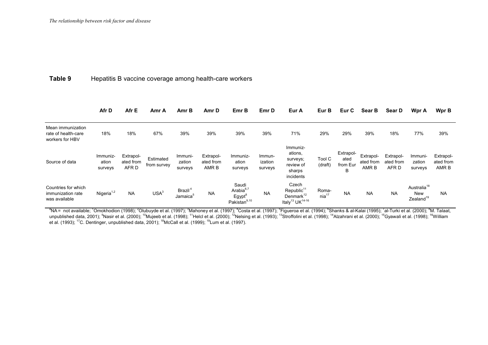#### **Table 9**Hepatitis B vaccine coverage among health-care workers

|                                                             | Afr D                        | Afr E                           | Amr A                    | Amr B                                       | Amr D                           | Emr B                                                                   | Emr D                        | Eur A                                                                                               | Eur B                      | Eur C                              | Sear B                          | Sear D                          | Wpr A                                                          | Wpr B                           |
|-------------------------------------------------------------|------------------------------|---------------------------------|--------------------------|---------------------------------------------|---------------------------------|-------------------------------------------------------------------------|------------------------------|-----------------------------------------------------------------------------------------------------|----------------------------|------------------------------------|---------------------------------|---------------------------------|----------------------------------------------------------------|---------------------------------|
| Mean immunization<br>rate of health-care<br>workers for HBV | 18%                          | 18%                             | 67%                      | 39%                                         | 39%                             | 39%                                                                     | 39%                          | 71%                                                                                                 | 29%                        | 29%                                | 39%                             | 18%                             | 77%                                                            | 39%                             |
| Source of data                                              | Immuniz-<br>ation<br>surveys | Extrapol-<br>ated from<br>AFR D | Estimated<br>from survey | Immuni-<br>zation<br>surveys                | Extrapol-<br>ated from<br>AMR B | Immuniz-<br>ation<br>surveys                                            | Immun-<br>ization<br>surveys | Immuniz-<br>ations,<br>surveys;<br>review of<br>sharps<br>incidents                                 | Tool C<br>(draft)          | Extrapol-<br>ated<br>from Eur<br>B | Extrapol-<br>ated from<br>AMR B | Extrapol-<br>ated from<br>AFR D | Immuni-<br>zation<br>surveys                                   | Extrapol-<br>ated from<br>AMR B |
| Countries for which<br>immunization rate<br>was available   | Nigeria $1,2$                | <b>NA</b>                       | USA <sup>3</sup>         | Brazil <sup>4</sup><br>Jamaica <sup>5</sup> | <b>NA</b>                       | Saudi<br>Arabia $6,7$<br>Egypt <sup>8</sup><br>Pakistan <sup>9,10</sup> | <b>NA</b>                    | Czech<br>Republic <sup>11</sup><br>Denmark <sup>12</sup><br>Italy <sup>13</sup> UK <sup>14-16</sup> | Roma-<br>nia <sup>17</sup> | <b>NA</b>                          | <b>NA</b>                       | <b>NA</b>                       | Australia <sup>18</sup><br><b>New</b><br>Zealand <sup>19</sup> | <b>NA</b>                       |

 $^{\rm a}$ NA= not available;  $^{\rm 1}$ Omokhodion (1998);  $^{\rm 2}$ Olubuyde et al. (1997);  $^{\rm 3}$ Mahoney et al. (1997);  $^{\rm 4}$ Costa et al. (1997);  $^{\rm 5}$ Figueroa et al. (1994);  $^{\rm 6}$ Shanks & al-Kalai (1995);  $^{\rm 7}$ al unpublished data, 2001); <sup>9</sup>Nasir et al. (2000); <sup>10</sup>Mujeeb et al. (1998); <sup>11</sup>Helcl et al. (2000); <sup>12</sup>Nelsing et al. (1993); <sup>13</sup>Stroffolini et al. (1998); <sup>14</sup>Alzahrani et al. (2000); <sup>15</sup>Gyawali et al. (1998); <sup>16</sup>Will et al. (1993); <sup>17</sup>C. Dentinger, unpublished data, 2001); <sup>18</sup>McCall et al. (1999); <sup>19</sup>Lum et al. (1997).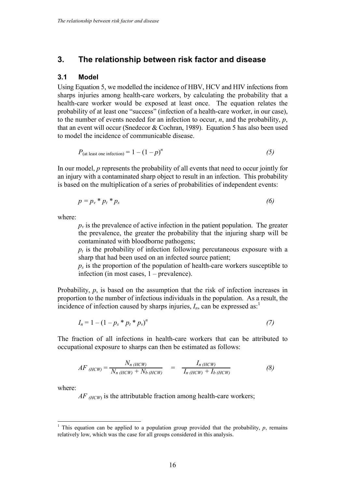## **3. The relationship between risk factor and disease**

#### **3.1 Model**

Using Equation 5, we modelled the incidence of HBV, HCV and HIV infections from sharps injuries among health-care workers, by calculating the probability that a health-care worker would be exposed at least once. The equation relates the probability of at least one "success" (infection of a health-care worker, in our case), to the number of events needed for an infection to occur, *n*, and the probability, *p*, that an event will occur (Snedecor & Cochran, 1989). Equation 5 has also been used to model the incidence of communicable disease.

$$
P_{\text{(at least one infection)}} = 1 - (1 - p)^n \tag{5}
$$

In our model, *p* represents the probability of all events that need to occur jointly for an injury with a contaminated sharp object to result in an infection. This probability is based on the multiplication of a series of probabilities of independent events:

$$
p = p_v * p_t * p_s \tag{6}
$$

where:

 $p_{\nu}$  is the prevalence of active infection in the patient population. The greater the prevalence, the greater the probability that the injuring sharp will be contaminated with bloodborne pathogens;

 $p_t$  is the probability of infection following percutaneous exposure with a sharp that had been used on an infected source patient;

 $p_s$  is the proportion of the population of health-care workers susceptible to infection (in most cases, 1 – prevalence).

Probability, *p*, is based on the assumption that the risk of infection increases in proportion to the number of infectious individuals in the population. As a result, the incidence of infection caused by sharps injuries,  $I_n$ , can be expressed as:<sup>1</sup>

$$
I_n = 1 - (1 - p_s * p_t * p_v)^n \tag{7}
$$

The fraction of all infections in health-care workers that can be attributed to occupational exposure to sharps can then be estimated as follows:

$$
AF_{(HCW)} = \frac{N_{n(HCW)}}{N_{n(HCW)} + N_{b(HCW)}} = \frac{I_{n(HCW)}}{I_{n(HCW)} + I_{b(HCW)}} \tag{8}
$$

where:

l.

*AF (HCW)* is the attributable fraction among health-care workers;

<sup>1</sup> This equation can be applied to a population group provided that the probability,  $p$ , remains relatively low, which was the case for all groups considered in this analysis.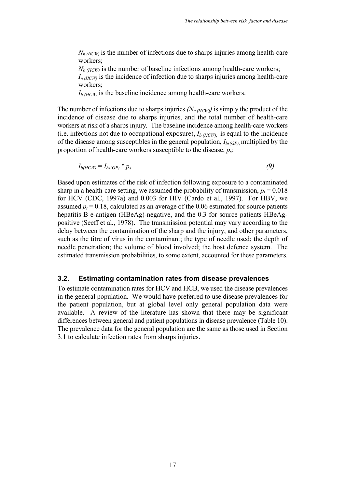$N_{n(HCW)}$  is the number of infections due to sharps injuries among health-care workers;

 $N_{b(HCW)}$  is the number of baseline infections among health-care workers;  $I_{n(HCW)}$  is the incidence of infection due to sharps injuries among health-care workers;

 $I_{b(HCW)}$  is the baseline incidence among health-care workers.

The number of infections due to sharps injuries  $(N_{n(HCW)})$  is simply the product of the incidence of disease due to sharps injuries, and the total number of health-care workers at risk of a sharps injury*.* The baseline incidence among health-care workers (i.e. infections not due to occupational exposure),  $I_{b(HCW)}$  is equal to the incidence of the disease among susceptibles in the general population,  $I_{bs(GP)}$ , multiplied by the proportion of health-care workers susceptible to the disease,  $p_s$ .

 $I_{b(HCW)} = I_{bs(GP)} * p_s$  (9)

Based upon estimates of the risk of infection following exposure to a contaminated sharp in a health-care setting, we assumed the probability of transmission,  $p_t = 0.018$ for HCV (CDC, 1997a) and 0.003 for HIV (Cardo et al*.*, 1997). For HBV, we assumed  $p_t = 0.18$ , calculated as an average of the 0.06 estimated for source patients hepatitis B e-antigen (HBeAg)-negative, and the 0.3 for source patients HBeAgpositive (Seeff et al*.*, 1978). The transmission potential may vary according to the delay between the contamination of the sharp and the injury, and other parameters, such as the titre of virus in the contaminant; the type of needle used; the depth of needle penetration; the volume of blood involved; the host defence system. The estimated transmission probabilities, to some extent, accounted for these parameters.

#### **3.2. Estimating contamination rates from disease prevalences**

To estimate contamination rates for HCV and HCB, we used the disease prevalences in the general population. We would have preferred to use disease prevalences for the patient population, but at global level only general population data were available. A review of the literature has shown that there may be significant differences between general and patient populations in disease prevalence (Table 10). The prevalence data for the general population are the same as those used in Section 3.1 to calculate infection rates from sharps injuries.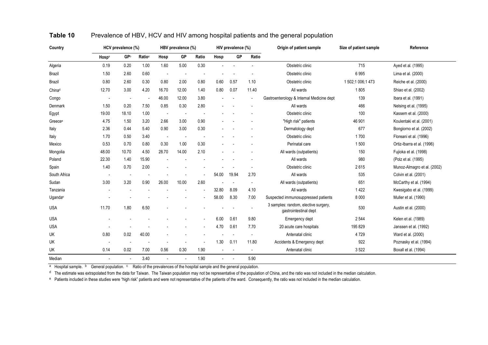| Country             |                          | HCV prevalence (%)       |                          | HBV prevalence (%)       |                          | HIV prevalence (%)       |       |                          | Origin of patient sample | Size of patient sample                                        | Reference         |                             |
|---------------------|--------------------------|--------------------------|--------------------------|--------------------------|--------------------------|--------------------------|-------|--------------------------|--------------------------|---------------------------------------------------------------|-------------------|-----------------------------|
|                     | Hospa                    | GPb                      | Ratio <sup>c</sup>       | Hosp                     | GP                       | Ratio                    | Hosp  | GP                       | Ratio                    |                                                               |                   |                             |
| Algeria             | 0.19                     | 0.20                     | 1.00                     | 1.60                     | 5.00                     | 0.30                     |       |                          |                          | Obstetric clinic                                              | 715               | Ayed et al. (1995)          |
| Brazil              | 1.50                     | 2.60                     | 0.60                     | $\overline{\phantom{a}}$ |                          |                          |       |                          |                          | Obstetric clinic                                              | 6995              | Lima et al. (2000)          |
| Brazil              | 0.80                     | 2.60                     | 0.30                     | 0.80                     | 2.00                     | 0.80                     | 0.60  | 0.57                     | 1.10                     | Obstetric clinic                                              | 1 502;1 006;1 473 | Reiche et al. (2000)        |
| Chinad              | 12.70                    | 3.00                     | 4.20                     | 16.70                    | 12.00                    | 1.40                     | 0.80  | 0.07                     | 11.40                    | All wards                                                     | 1805              | Shiao et al. (2002)         |
| Congo               | $\overline{a}$           | $\overline{\phantom{a}}$ | $\overline{\phantom{a}}$ | 46.00                    | 12.00                    | 3.80                     |       | $\overline{\phantom{a}}$ | $\overline{\phantom{a}}$ | Gastroenterology & Internal Medicine dept                     | 139               | Ibara et al. (1991)         |
| Denmark             | 1.50                     | 0.20                     | 7.50                     | 0.85                     | 0.30                     | 2.80                     |       |                          |                          | All wards                                                     | 466               | Nelsing et al. (1995)       |
| Egypt               | 19.00                    | 18.10                    | 1.00                     | $\overline{\phantom{a}}$ | $\overline{\phantom{a}}$ |                          |       |                          |                          | Obstetric clinic                                              | 100               | Kassem et al. (2000)        |
| Greece <sup>e</sup> | 4.75                     | 1.50                     | 3.20                     | 2.66                     | 3.00                     | 0.90                     |       |                          |                          | "High risk" patients                                          | 46 901            | Koulentaki et al. (2001)    |
| Italy               | 2.36                     | 0.44                     | 5.40                     | 0.90                     | 3.00                     | 0.30                     |       |                          |                          | Dermatology dept                                              | 677               | Bongiorno et al. (2002)     |
| Italy               | 1.70                     | 0.50                     | 3.40                     | $\overline{\phantom{a}}$ | $\overline{\phantom{a}}$ | $\overline{\phantom{a}}$ |       |                          |                          | Obstetric clinic                                              | 1700              | Floreani et al. (1996)      |
| Mexico              | 0.53                     | 0.70                     | 0.80                     | 0.30                     | 1.00                     | 0.30                     |       |                          |                          | Perinatal care                                                | 1500              | Ortiz-Ibarra et al. (1996)  |
| Mongolia            | 48.00                    | 10.70                    | 4.50                     | 28.70                    | 14.00                    | 2.10                     |       |                          |                          | All wards (outpatients)                                       | 150               | Fujioka et al. (1998)       |
| Poland              | 22.30                    | 1.40                     | 15.90                    |                          |                          |                          |       |                          |                          | All wards                                                     | 980               | (Polz et al. (1995)         |
| Spain               | 1.40                     | 0.70                     | 2.00                     |                          |                          |                          |       |                          |                          | Obstetric clinic                                              | 2615              | Munoz-Almagro et al. (2002) |
| South Africa        | $\overline{a}$           | $\overline{\phantom{a}}$ |                          |                          |                          |                          | 54.00 | 19.94                    | 2.70                     | All wards                                                     | 535               | Colvin et al. (2001)        |
| Sudan               | 3.00                     | 3.20                     | 0.90                     | 26.00                    | 10.00                    | 2.60                     |       | $\overline{\phantom{a}}$ | $\overline{\phantom{a}}$ | All wards (outpatients)                                       | 651               | McCarthy et al. (1994)      |
| Tanzania            |                          |                          |                          |                          |                          |                          | 32.80 | 8.09                     | 4.10                     | All wards                                                     | 1422              | Kwesigabo et al. (1999)     |
| Uganda <sup>e</sup> |                          |                          |                          |                          |                          |                          | 58.00 | 8.30                     | 7.00                     | Suspected immunosuppressed patients                           | 8 0 0 0           | Muller et al. (1990)        |
| <b>USA</b>          | 11.70                    | 1.80                     | 6.50                     |                          |                          |                          |       |                          |                          | 3 samples: random, elective surgery,<br>gastrointestinal dept | 530               | Austin et al. (2000)        |
| <b>USA</b>          |                          |                          |                          |                          |                          |                          | 6.00  | 0.61                     | 9.80                     | Emergency dept                                                | 2 5 4 4           | Kelen et al. (1989)         |
| <b>USA</b>          |                          |                          |                          |                          |                          |                          | 4.70  | 0.61                     | 7.70                     | 20 acute care hospitals                                       | 195 829           | Janssen et al. (1992)       |
| UK                  | 0.80                     | 0.02                     | 40.00                    |                          |                          |                          |       |                          |                          | Antenatal clinic                                              | 4729              | Ward et al. (2000)          |
| UK                  |                          |                          |                          |                          |                          |                          | 1.30  | 0.11                     | 11.80                    | Accidents & Emergency dept                                    | 922               | Poznasky et al. (1994)      |
| UK                  | 0.14                     | 0.02                     | 7.00                     | 0.56                     | 0.30                     | 1.90                     |       |                          | $\overline{\phantom{a}}$ | Antenatal clinic                                              | 3522              | Boxall et al. (1994)        |
| Median              | $\overline{\phantom{a}}$ | $\overline{\phantom{a}}$ | 3.40                     | $\overline{a}$           |                          | 1.90                     |       |                          | 5.90                     |                                                               |                   |                             |

#### **Table 10**Prevalence of HBV, HCV and HIV among hospital patients and the general population

a Hospital sample. b General population. <sup>c</sup> Ratio of the prevalences of the hospital sample and the general population.

<sup>d</sup> The estimate was extrapolated from the data for Taiwan. The Taiwan population may not be representative of the population of China, and the ratio was not included in the median calculation.

e Patients included in these studies were "high risk" patients and were not representative of the patients of the ward. Consequently, the ratio was not included in the median calculation.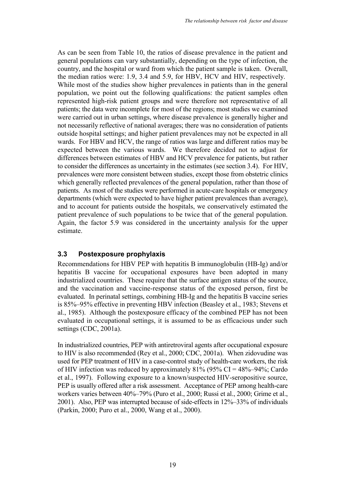As can be seen from Table 10, the ratios of disease prevalence in the patient and general populations can vary substantially, depending on the type of infection, the country, and the hospital or ward from which the patient sample is taken. Overall, the median ratios were: 1.9, 3.4 and 5.9, for HBV, HCV and HIV, respectively. While most of the studies show higher prevalences in patients than in the general population, we point out the following qualifications: the patient samples often represented high-risk patient groups and were therefore not representative of all patients; the data were incomplete for most of the regions; most studies we examined were carried out in urban settings, where disease prevalence is generally higher and not necessarily reflective of national averages; there was no consideration of patients outside hospital settings; and higher patient prevalences may not be expected in all wards. For HBV and HCV, the range of ratios was large and different ratios may be expected between the various wards. We therefore decided not to adjust for differences between estimates of HBV and HCV prevalence for patients, but rather to consider the differences as uncertainty in the estimates (see section 3.4). For HIV, prevalences were more consistent between studies, except those from obstetric clinics which generally reflected prevalences of the general population, rather than those of patients. As most of the studies were performed in acute-care hospitals or emergency departments (which were expected to have higher patient prevalences than average), and to account for patients outside the hospitals, we conservatively estimated the patient prevalence of such populations to be twice that of the general population. Again, the factor 5.9 was considered in the uncertainty analysis for the upper estimate.

## **3.3 Postexposure prophylaxis**

Recommendations for HBV PEP with hepatitis B immunoglobulin (HB-Ig) and/or hepatitis B vaccine for occupational exposures have been adopted in many industrialized countries. These require that the surface antigen status of the source, and the vaccination and vaccine-response status of the exposed person, first be evaluated. In perinatal settings, combining HB-Ig and the hepatitis B vaccine series is 85%–95% effective in preventing HBV infection (Beasley et al., 1983; Stevens et al., 1985). Although the postexposure efficacy of the combined PEP has not been evaluated in occupational settings, it is assumed to be as efficacious under such settings (CDC, 2001a).

In industrialized countries, PEP with antiretroviral agents after occupational exposure to HIV is also recommended (Rey et al., 2000; CDC, 2001a). When zidovudine was used for PEP treatment of HIV in a case-control study of health-care workers, the risk of HIV infection was reduced by approximately  $81\%$  (95% CI = 48%–94%; Cardo et al., 1997). Following exposure to a known/suspected HIV-seropositive source, PEP is usually offered after a risk assessment. Acceptance of PEP among health-care workers varies between 40%–79% (Puro et al., 2000; Russi et al., 2000; Grime et al., 2001). Also, PEP was interrupted because of side-effects in 12%–33% of individuals (Parkin, 2000; Puro et al., 2000, Wang et al., 2000).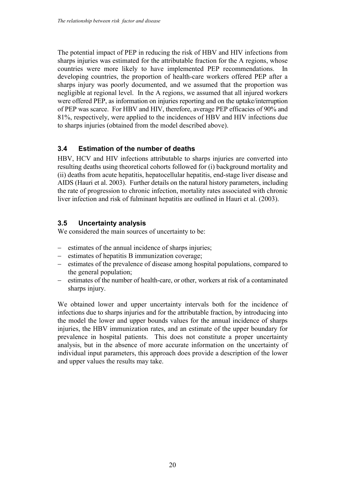The potential impact of PEP in reducing the risk of HBV and HIV infections from sharps injuries was estimated for the attributable fraction for the A regions, whose countries were more likely to have implemented PEP recommendations. In developing countries, the proportion of health-care workers offered PEP after a sharps injury was poorly documented, and we assumed that the proportion was negligible at regional level. In the A regions, we assumed that all injured workers were offered PEP, as information on injuries reporting and on the uptake/interruption of PEP was scarce. For HBV and HIV, therefore, average PEP efficacies of 90% and 81%, respectively, were applied to the incidences of HBV and HIV infections due to sharps injuries (obtained from the model described above).

## **3.4 Estimation of the number of deaths**

HBV, HCV and HIV infections attributable to sharps injuries are converted into resulting deaths using theoretical cohorts followed for (i) background mortality and (ii) deaths from acute hepatitis, hepatocellular hepatitis, end-stage liver disease and AIDS (Hauri et al. 2003). Further details on the natural history parameters, including the rate of progression to chronic infection, mortality rates associated with chronic liver infection and risk of fulminant hepatitis are outlined in Hauri et al. (2003).

## **3.5 Uncertainty analysis**

We considered the main sources of uncertainty to be:

- estimates of the annual incidence of sharps injuries;
- estimates of hepatitis B immunization coverage;
- estimates of the prevalence of disease among hospital populations, compared to the general population;
- estimates of the number of health-care, or other, workers at risk of a contaminated sharps injury.

We obtained lower and upper uncertainty intervals both for the incidence of infections due to sharps injuries and for the attributable fraction, by introducing into the model the lower and upper bounds values for the annual incidence of sharps injuries, the HBV immunization rates, and an estimate of the upper boundary for prevalence in hospital patients. This does not constitute a proper uncertainty analysis, but in the absence of more accurate information on the uncertainty of individual input parameters, this approach does provide a description of the lower and upper values the results may take.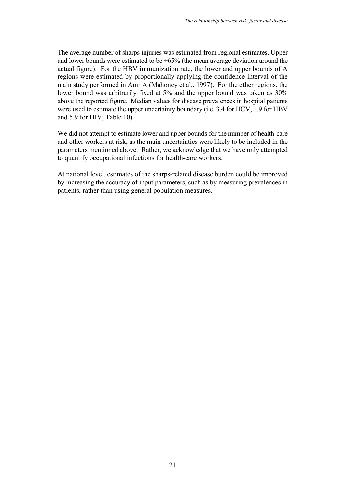The average number of sharps injuries was estimated from regional estimates. Upper and lower bounds were estimated to be  $\pm 65\%$  (the mean average deviation around the actual figure). For the HBV immunization rate, the lower and upper bounds of A regions were estimated by proportionally applying the confidence interval of the main study performed in Amr A (Mahoney et al*.*, 1997). For the other regions, the lower bound was arbitrarily fixed at 5% and the upper bound was taken as 30% above the reported figure. Median values for disease prevalences in hospital patients were used to estimate the upper uncertainty boundary (i.e. 3.4 for HCV, 1.9 for HBV and 5.9 for HIV; Table 10).

We did not attempt to estimate lower and upper bounds for the number of health-care and other workers at risk, as the main uncertainties were likely to be included in the parameters mentioned above. Rather, we acknowledge that we have only attempted to quantify occupational infections for health-care workers.

At national level, estimates of the sharps-related disease burden could be improved by increasing the accuracy of input parameters, such as by measuring prevalences in patients, rather than using general population measures.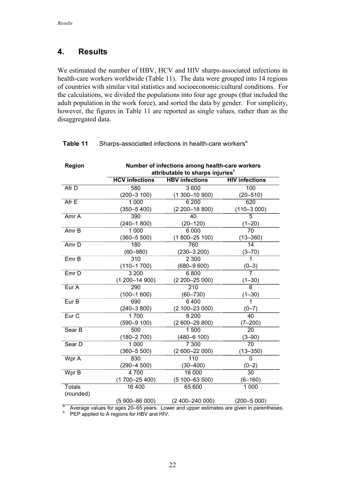## **4. Results**

We estimated the number of HBV, HCV and HIV sharps-associated infections in health-care workers worldwide (Table 11). The data were grouped into 14 regions of countries with similar vital statistics and socioeconomic/cultural conditions. For the calculations, we divided the populations into four age groups (that included the adult population in the work force), and sorted the data by gender. For simplicity, however, the figures in Table 11 are reported as single values, rather than as the disaggregated data.

| Region           | Number of infections among health-care workers<br>attributable to sharps injuries <sup>b</sup> |                                                                                        |                       |  |  |  |
|------------------|------------------------------------------------------------------------------------------------|----------------------------------------------------------------------------------------|-----------------------|--|--|--|
|                  | <b>HCV</b> infections                                                                          | <b>HBV</b> infections                                                                  | <b>HIV infections</b> |  |  |  |
| Afr D            | 580                                                                                            | 3 600                                                                                  | 100                   |  |  |  |
|                  | $(200 - 3 100)$                                                                                | $(1300 - 10900)$                                                                       | $(20 - 510)$          |  |  |  |
| Afr E            | 1 0 0 0                                                                                        | 6 200                                                                                  | 620                   |  |  |  |
|                  | $(350 - 5400)$                                                                                 | $(2200 - 18800)$                                                                       | $(110 - 3000)$        |  |  |  |
| Amr A            | 390                                                                                            | $\overline{40}$                                                                        | 5                     |  |  |  |
|                  | $(240 - 1800)$                                                                                 | $(20 - 120)$                                                                           | $(1 - 20)$            |  |  |  |
| Amr B            | 1 0 0 0                                                                                        | 6 0 0 0                                                                                | 70                    |  |  |  |
|                  | $(360 - 5500)$                                                                                 | $(1800 - 25100)$                                                                       | $(13 - 360)$          |  |  |  |
| Amr <sub>D</sub> | 180                                                                                            | 760                                                                                    | $\overline{14}$       |  |  |  |
|                  | $(60 - 980)$                                                                                   | $(230 - 3200)$                                                                         | $(3 - 70)$            |  |  |  |
| Emr B            | 310                                                                                            | 2 3 0 0                                                                                | 1.                    |  |  |  |
|                  | $(110 - 1700)$                                                                                 | $(680 - 9600)$                                                                         | $(0-3)$               |  |  |  |
| Emr <sub>D</sub> | 3 200                                                                                          | 6800                                                                                   | $\overline{7}$        |  |  |  |
|                  | $(1200 - 14900)$                                                                               | $(2200 - 25000)$                                                                       | $(1 - 30)$            |  |  |  |
| Eur A            | 290                                                                                            | $\overline{210}$                                                                       | 6                     |  |  |  |
|                  | $(100 - 1600)$                                                                                 | $(60 - 730)$                                                                           | $(1 - 30)$            |  |  |  |
| Eur B            | 690                                                                                            | 6400                                                                                   | 1                     |  |  |  |
|                  | $(240 - 3800)$                                                                                 | $(2100 - 23000)$                                                                       | $(0 - 7)$             |  |  |  |
| Eur <sub>C</sub> | 1700                                                                                           | 8 2 0 0                                                                                | 40                    |  |  |  |
|                  | $(590 - 9 100)$                                                                                | $(2600 - 29800)$                                                                       | $(7 - 200)$           |  |  |  |
| Sear B           | 500                                                                                            | 1500                                                                                   | 20                    |  |  |  |
|                  | $(180 - 2700)$                                                                                 | $(480 - 6 100)$                                                                        | $(3 - 90)$            |  |  |  |
| Sear D           | 1000                                                                                           | 7 300                                                                                  | $\overline{70}$       |  |  |  |
|                  | $(360 - 5500)$                                                                                 | $(2600 - 22000)$                                                                       | $(13 - 350)$          |  |  |  |
| Wpr A            | 830                                                                                            | $\overline{110}$                                                                       | 0                     |  |  |  |
|                  | $(290 - 4500)$                                                                                 | $(30 - 400)$                                                                           | $(0-2)$               |  |  |  |
| Wpr B            | 4700                                                                                           | 16 000                                                                                 | 30                    |  |  |  |
|                  | $(1700 - 25400)$                                                                               | $(5100 - 63500)$                                                                       | $(6 - 160)$           |  |  |  |
| <b>Totals</b>    | 16 400                                                                                         | 65 600                                                                                 | 1000                  |  |  |  |
| (rounded)        |                                                                                                |                                                                                        |                       |  |  |  |
|                  | $(5900 - 86000)$                                                                               | $(2400 - 24000)$                                                                       | $(200 - 5000)$        |  |  |  |
|                  |                                                                                                | Average values for ages 20 65 years. Lower and upper estimates are given in parenthese |                       |  |  |  |

## **Table 11** Sharps-associated infections in health-care workers<sup>a</sup>

<sup>a</sup> Average values for ages 20–65 years. Lower and upper estimates are given in parentheses.<br><sup>b</sup> PEP applied to A regions for HBV and HIV.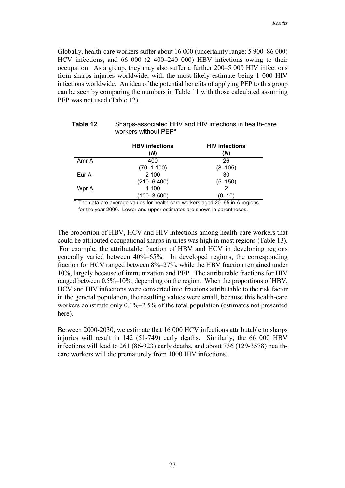Globally, health-care workers suffer about 16 000 (uncertainty range: 5 900–86 000) HCV infections, and 66 000 (2 400–240 000) HBV infections owing to their occupation. As a group, they may also suffer a further 200–5 000 HIV infections from sharps injuries worldwide, with the most likely estimate being 1 000 HIV infections worldwide. An idea of the potential benefits of applying PEP to this group can be seen by comparing the numbers in Table 11 with those calculated assuming PEP was not used (Table 12).

|       | workers without PEP <sup>a</sup> |                              |
|-------|----------------------------------|------------------------------|
|       | <b>HBV</b> infections<br>(N)     | <b>HIV infections</b><br>(N) |
| Amr A | 400                              | 26                           |
|       | $(70 - 1100)$                    | $(8 - 105)$                  |
| Eur A | 2 100                            | 30                           |
|       | $(210 - 6400)$                   | $(5 - 150)$                  |
| Wpr A | 1 100                            |                              |
|       | $(100 - 3500)$                   | $(0 - 10)$                   |

# **Table 12** Sharps-associated HBV and HIV infections in health-care

<sup>a</sup> The data are average values for health-care workers aged 20–65 in A regions for the year 2000. Lower and upper estimates are shown in parentheses.

The proportion of HBV, HCV and HIV infections among health-care workers that could be attributed occupational sharps injuries was high in most regions (Table 13). For example, the attributable fraction of HBV and HCV in developing regions generally varied between 40%–65%. In developed regions, the corresponding fraction for HCV ranged between 8%–27%, while the HBV fraction remained under 10%, largely because of immunization and PEP. The attributable fractions for HIV ranged between 0.5%–10%, depending on the region. When the proportions of HBV, HCV and HIV infections were converted into fractions attributable to the risk factor in the general population, the resulting values were small, because this health-care workers constitute only 0.1%–2.5% of the total population (estimates not presented here).

Between 2000-2030, we estimate that 16 000 HCV infections attributable to sharps injuries will result in 142 (51-749) early deaths. Similarly, the 66 000 HBV infections will lead to 261 (86-923) early deaths, and about 736 (129-3578) healthcare workers will die prematurely from 1000 HIV infections.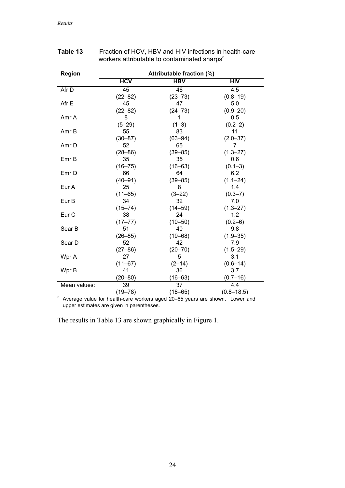| <b>Region</b>    | Attributable fraction (%) |                         |                |  |  |  |
|------------------|---------------------------|-------------------------|----------------|--|--|--|
|                  | <b>HCV</b>                | $\overline{\text{HBV}}$ | HIV            |  |  |  |
| Afr D            | 45                        | 46                      | 4.5            |  |  |  |
|                  | $(22 - 82)$               | $(23 - 73)$             | $(0.8 - 19)$   |  |  |  |
| Afr E            | 45                        | 47                      | 5.0            |  |  |  |
|                  | $(22 - 82)$               | $(24 - 73)$             | $(0.9 - 20)$   |  |  |  |
| Amr A            | 8                         | 1                       | 0.5            |  |  |  |
|                  | $(5 - 29)$                | $(1-3)$                 | $(0.2 - 2)$    |  |  |  |
| Amr B            | 55                        | 83                      | 11             |  |  |  |
|                  | $(30 - 87)$               | $(63 - 94)$             | $(2.0 - 37)$   |  |  |  |
| Amr D            | 52                        | 65                      | 7              |  |  |  |
|                  | $(28 - 86)$               | $(39 - 85)$             | $(1.3 - 27)$   |  |  |  |
| Emr B            | 35                        | 35                      | 0.6            |  |  |  |
|                  | $(16 - 75)$               | $(16 - 63)$             | $(0.1 - 3)$    |  |  |  |
| Emr D            | 66                        | 64                      | 6.2            |  |  |  |
|                  | $(40 - 91)$               | $(39 - 85)$             | $(1.1 - 24)$   |  |  |  |
| Eur A            | 25                        | 8                       | 1.4            |  |  |  |
|                  | $(11 - 65)$               | $(3-22)$                | $(0.3 - 7)$    |  |  |  |
| Eur B            | 34                        | 32                      | 7.0            |  |  |  |
|                  | $(15 - 74)$               | $(14 - 59)$             | $(1.3 - 27)$   |  |  |  |
| Eur <sub>C</sub> | 38                        | 24                      | 1.2            |  |  |  |
|                  | $(17 - 77)$               | $(10 - 50)$             | $(0.2 - 6)$    |  |  |  |
| Sear B           | 51                        | 40                      | 9.8            |  |  |  |
|                  | $(26 - 85)$               | $(19 - 68)$             | $(1.9 - 35)$   |  |  |  |
| Sear D           | 52                        | 42                      | 7.9            |  |  |  |
|                  | $(27 - 86)$               | $(20 - 70)$             | $(1.5 - 29)$   |  |  |  |
| Wpr A            | 27                        | 5                       | 3.1            |  |  |  |
|                  | $(11 - 67)$               | $(2-14)$                | $(0.6 - 14)$   |  |  |  |
| Wpr B            | 41                        | 36                      | 3.7            |  |  |  |
|                  | $(20 - 80)$               | $(16 - 63)$             | $(0.7 - 16)$   |  |  |  |
| Mean values:     | 39                        | 37                      | 4.4            |  |  |  |
|                  | $(19 - 78)$               | $(18 - 65)$             | $(0.8 - 18.5)$ |  |  |  |

## **Table 13** Fraction of HCV, HBV and HIV infections in health-care workers attributable to contaminated sharps<sup>a</sup>

<sup>a</sup> Average value for health-care workers aged 20–65 years are shown. Lower and upper estimates are given in parentheses.

The results in Table 13 are shown graphically in Figure 1.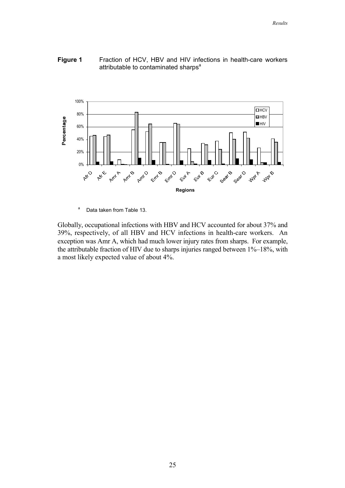## **Figure 1** Fraction of HCV, HBV and HIV infections in health-care workers attributable to contaminated sharps<sup>a</sup>



<sup>a</sup> Data taken from Table 13.

Globally, occupational infections with HBV and HCV accounted for about 37% and 39%, respectively, of all HBV and HCV infections in health-care workers. An exception was Amr A, which had much lower injury rates from sharps. For example, the attributable fraction of HIV due to sharps injuries ranged between 1%–18%, with a most likely expected value of about 4%.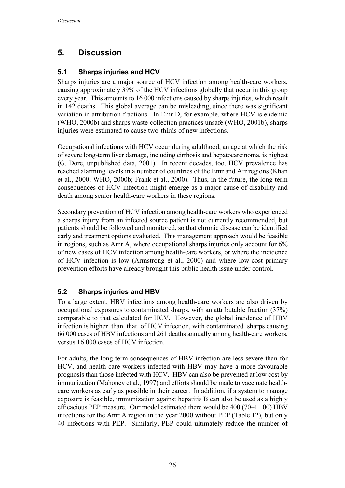## **5. Discussion**

## **5.1 Sharps injuries and HCV**

Sharps injuries are a major source of HCV infection among health-care workers, causing approximately 39% of the HCV infections globally that occur in this group every year. This amounts to 16 000 infections caused by sharps injuries, which result in 142 deaths. This global average can be misleading, since there was significant variation in attribution fractions. In Emr D, for example, where HCV is endemic (WHO, 2000b) and sharps waste-collection practices unsafe (WHO, 2001b), sharps injuries were estimated to cause two-thirds of new infections.

Occupational infections with HCV occur during adulthood, an age at which the risk of severe long-term liver damage, including cirrhosis and hepatocarcinoma, is highest (G. Dore, unpublished data, 2001). In recent decades, too, HCV prevalence has reached alarming levels in a number of countries of the Emr and Afr regions (Khan et al., 2000; WHO, 2000b; Frank et al., 2000). Thus, in the future, the long-term consequences of HCV infection might emerge as a major cause of disability and death among senior health-care workers in these regions.

Secondary prevention of HCV infection among health-care workers who experienced a sharps injury from an infected source patient is not currently recommended, but patients should be followed and monitored, so that chronic disease can be identified early and treatment options evaluated. This management approach would be feasible in regions, such as Amr A, where occupational sharps injuries only account for 6% of new cases of HCV infection among health-care workers, or where the incidence of HCV infection is low (Armstrong et al., 2000) and where low-cost primary prevention efforts have already brought this public health issue under control.

## **5.2 Sharps injuries and HBV**

To a large extent, HBV infections among health-care workers are also driven by occupational exposures to contaminated sharps, with an attributable fraction (37%) comparable to that calculated for HCV. However, the global incidence of HBV infection is higher than that of HCV infection, with contaminated sharps causing 66 000 cases of HBV infections and 261 deaths annually among health-care workers, versus 16 000 cases of HCV infection.

For adults, the long-term consequences of HBV infection are less severe than for HCV, and health-care workers infected with HBV may have a more favourable prognosis than those infected with HCV. HBV can also be prevented at low cost by immunization (Mahoney et al., 1997) and efforts should be made to vaccinate healthcare workers as early as possible in their career. In addition, if a system to manage exposure is feasible, immunization against hepatitis B can also be used as a highly efficacious PEP measure. Our model estimated there would be 400 (70–1 100) HBV infections for the Amr A region in the year 2000 without PEP (Table 12), but only 40 infections with PEP. Similarly, PEP could ultimately reduce the number of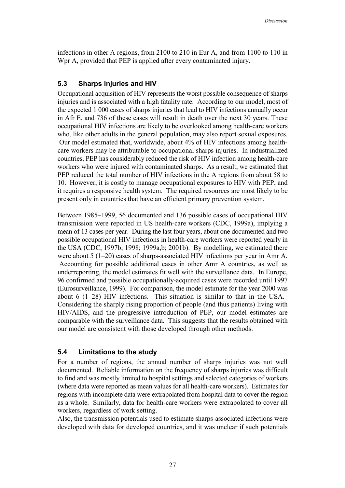infections in other A regions, from 2100 to 210 in Eur A, and from 1100 to 110 in Wpr A, provided that PEP is applied after every contaminated injury.

## **5.3 Sharps injuries and HIV**

Occupational acquisition of HIV represents the worst possible consequence of sharps injuries and is associated with a high fatality rate. According to our model, most of the expected 1 000 cases of sharps injuries that lead to HIV infections annually occur in Afr E, and 736 of these cases will result in death over the next 30 years. These occupational HIV infections are likely to be overlooked among health-care workers who, like other adults in the general population, may also report sexual exposures. Our model estimated that, worldwide, about 4% of HIV infections among healthcare workers may be attributable to occupational sharps injuries. In industrialized countries, PEP has considerably reduced the risk of HIV infection among health-care workers who were injured with contaminated sharps. As a result, we estimated that PEP reduced the total number of HIV infections in the A regions from about 58 to 10. However, it is costly to manage occupational exposures to HIV with PEP, and it requires a responsive health system. The required resources are most likely to be present only in countries that have an efficient primary prevention system.

Between 1985–1999, 56 documented and 136 possible cases of occupational HIV transmission were reported in US health-care workers (CDC, 1999a), implying a mean of 13 cases per year. During the last four years, about one documented and two possible occupational HIV infections in health-care workers were reported yearly in the USA (CDC, 1997b; 1998; 1999a,b; 2001b). By modelling, we estimated there were about 5 (1–20) cases of sharps-associated HIV infections per year in Amr A. Accounting for possible additional cases in other Amr A countries, as well as underreporting, the model estimates fit well with the surveillance data. In Europe, 96 confirmed and possible occupationally-acquired cases were recorded until 1997 (Eurosurveillance, 1999). For comparison, the model estimate for the year 2000 was about 6 (1–28) HIV infections. This situation is similar to that in the USA. Considering the sharply rising proportion of people (and thus patients) living with HIV/AIDS, and the progressive introduction of PEP, our model estimates are comparable with the surveillance data. This suggests that the results obtained with our model are consistent with those developed through other methods.

## **5.4 Limitations to the study**

For a number of regions, the annual number of sharps injuries was not well documented. Reliable information on the frequency of sharps injuries was difficult to find and was mostly limited to hospital settings and selected categories of workers (where data were reported as mean values for all health-care workers). Estimates for regions with incomplete data were extrapolated from hospital data to cover the region as a whole. Similarly, data for health-care workers were extrapolated to cover all workers, regardless of work setting.

Also, the transmission potentials used to estimate sharps-associated infections were developed with data for developed countries, and it was unclear if such potentials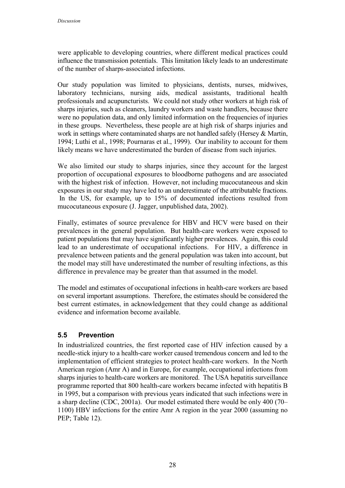were applicable to developing countries, where different medical practices could influence the transmission potentials. This limitation likely leads to an underestimate of the number of sharps-associated infections.

Our study population was limited to physicians, dentists, nurses, midwives, laboratory technicians, nursing aids, medical assistants, traditional health professionals and acupuncturists. We could not study other workers at high risk of sharps injuries, such as cleaners, laundry workers and waste handlers, because there were no population data, and only limited information on the frequencies of injuries in these groups. Nevertheless, these people are at high risk of sharps injuries and work in settings where contaminated sharps are not handled safely (Hersey & Martin, 1994; Luthi et al., 1998; Pournaras et al., 1999). Our inability to account for them likely means we have underestimated the burden of disease from such injuries.

We also limited our study to sharps injuries, since they account for the largest proportion of occupational exposures to bloodborne pathogens and are associated with the highest risk of infection. However, not including mucocutaneous and skin exposures in our study may have led to an underestimate of the attributable fractions. In the US, for example, up to 15% of documented infections resulted from mucocutaneous exposure (J. Jagger, unpublished data, 2002).

Finally, estimates of source prevalence for HBV and HCV were based on their prevalences in the general population. But health-care workers were exposed to patient populations that may have significantly higher prevalences. Again, this could lead to an underestimate of occupational infections. For HIV, a difference in prevalence between patients and the general population was taken into account, but the model may still have underestimated the number of resulting infections, as this difference in prevalence may be greater than that assumed in the model.

The model and estimates of occupational infections in health-care workers are based on several important assumptions. Therefore, the estimates should be considered the best current estimates, in acknowledgement that they could change as additional evidence and information become available.

## **5.5 Prevention**

In industrialized countries, the first reported case of HIV infection caused by a needle-stick injury to a health-care worker caused tremendous concern and led to the implementation of efficient strategies to protect health-care workers. In the North American region (Amr A) and in Europe, for example, occupational infections from sharps injuries to health-care workers are monitored. The USA hepatitis surveillance programme reported that 800 health-care workers became infected with hepatitis B in 1995, but a comparison with previous years indicated that such infections were in a sharp decline (CDC, 2001a). Our model estimated there would be only 400 (70– 1100) HBV infections for the entire Amr A region in the year 2000 (assuming no PEP: Table 12).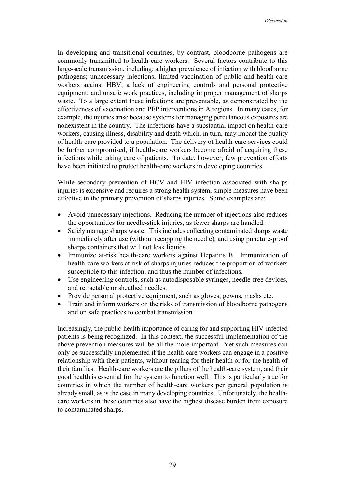In developing and transitional countries, by contrast, bloodborne pathogens are commonly transmitted to health-care workers. Several factors contribute to this large-scale transmission, including: a higher prevalence of infection with bloodborne pathogens; unnecessary injections; limited vaccination of public and health-care workers against HBV; a lack of engineering controls and personal protective equipment; and unsafe work practices, including improper management of sharps waste. To a large extent these infections are preventable, as demonstrated by the effectiveness of vaccination and PEP interventions in A regions. In many cases, for example, the injuries arise because systems for managing percutaneous exposures are nonexistent in the country. The infections have a substantial impact on health-care workers, causing illness, disability and death which, in turn, may impact the quality of health-care provided to a population. The delivery of health-care services could be further compromised, if health-care workers become afraid of acquiring these infections while taking care of patients. To date, however, few prevention efforts have been initiated to protect health-care workers in developing countries.

While secondary prevention of HCV and HIV infection associated with sharps injuries is expensive and requires a strong health system, simple measures have been effective in the primary prevention of sharps injuries. Some examples are:

- $\bullet$  Avoid unnecessary injections. Reducing the number of injections also reduces the opportunities for needle-stick injuries, as fewer sharps are handled.
- $\bullet$  Safely manage sharps waste. This includes collecting contaminated sharps waste immediately after use (without recapping the needle), and using puncture-proof sharps containers that will not leak liquids.
- $\bullet$  Immunize at-risk health-care workers against Hepatitis B. Immunization of health-care workers at risk of sharps injuries reduces the proportion of workers susceptible to this infection, and thus the number of infections.
- $\bullet$  Use engineering controls, such as autodisposable syringes, needle-free devices, and retractable or sheathed needles.
- $\bullet$ Provide personal protective equipment, such as gloves, gowns, masks etc.
- $\bullet$  Train and inform workers on the risks of transmission of bloodborne pathogens and on safe practices to combat transmission.

Increasingly, the public-health importance of caring for and supporting HIV-infected patients is being recognized. In this context, the successful implementation of the above prevention measures will be all the more important. Yet such measures can only be successfully implemented if the health-care workers can engage in a positive relationship with their patients, without fearing for their health or for the health of their families. Health-care workers are the pillars of the health-care system, and their good health is essential for the system to function well. This is particularly true for countries in which the number of health-care workers per general population is already small, as is the case in many developing countries. Unfortunately, the healthcare workers in these countries also have the highest disease burden from exposure to contaminated sharps.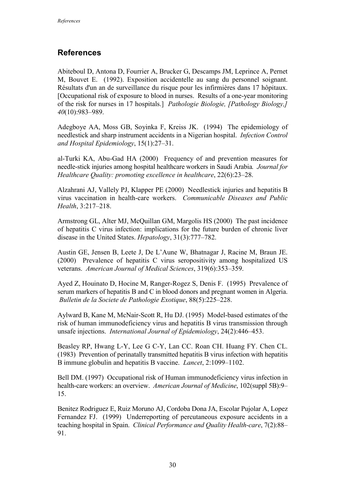## **References**

Abiteboul D, Antona D, Fourrier A, Brucker G, Descamps JM, Leprince A, Pernet M, Bouvet E. (1992). Exposition accidentelle au sang du personnel soignant. Résultats d'un an de surveillance du risque pour les infirmières dans 17 hôpitaux. [Occupational risk of exposure to blood in nurses. Results of a one-year monitoring of the risk for nurses in 17 hospitals.] *Pathologie Biologie, [Pathology Biology,] 40*(10):983–989.

Adegboye AA, Moss GB, Soyinka F, Kreiss JK. (1994) The epidemiology of needlestick and sharp instrument accidents in a Nigerian hospital. *Infection Control and Hospital Epidemiology*, 15(1):27–31.

al-Turki KA, Abu-Gad HA (2000) Frequency of and prevention measures for needle-stick injuries among hospital healthcare workers in Saudi Arabia*. Journal for Healthcare Quality: promoting excellence in healthcare*, 22(6):23–28.

Alzahrani AJ, Vallely PJ, Klapper PE (2000) Needlestick injuries and hepatitis B virus vaccination in health-care workers. *Communicable Diseases and Public Health*, 3:217–218.

Armstrong GL, Alter MJ, McQuillan GM, Margolis HS (2000) The past incidence of hepatitis C virus infection: implications for the future burden of chronic liver disease in the United States. *Hepatology*, 31(3):777–782.

Austin GE, Jensen B, Leete J, De L'Aune W, Bhatnagar J, Racine M, Braun JE. (2000) Prevalence of hepatitis C virus seropositivity among hospitalized US veterans. *American Journal of Medical Sciences*, 319(6):353–359.

Ayed Z, Houinato D, Hocine M, Ranger-Rogez S, Denis F. (1995) Prevalence of serum markers of hepatitis B and C in blood donors and pregnant women in Algeria. *Bulletin de la Societe de Pathologie Exotique*, 88(5):225–228.

Aylward B, Kane M, McNair-Scott R, Hu DJ. (1995) Model-based estimates of the risk of human immunodeficiency virus and hepatitis B virus transmission through unsafe injections. *International Journal of Epidemiology*, 24(2):446–453.

Beasley RP, Hwang L-Y, Lee G C-Y, Lan CC. Roan CH. Huang FY. Chen CL. (1983) Prevention of perinatally transmitted hepatitis B virus infection with hepatitis B immune globulin and hepatitis B vaccine. *Lancet*, 2:1099–1102.

Bell DM. (1997) Occupational risk of Human immunodeficiency virus infection in health-care workers: an overview. *American Journal of Medicine*, 102(suppl 5B):9– 15.

Benitez Rodriguez E, Ruiz Moruno AJ, Cordoba Dona JA, Escolar Pujolar A, Lopez Fernandez FJ. (1999) Underreporting of percutaneous exposure accidents in a teaching hospital in Spain. *Clinical Performance and Quality Health-care*, 7(2):88– 91.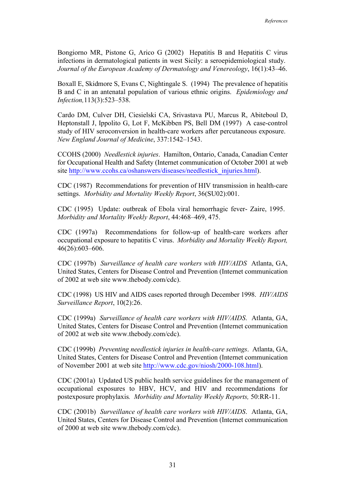Bongiorno MR, Pistone G, Arico G (2002) Hepatitis B and Hepatitis C virus infections in dermatological patients in west Sicily: a seroepidemiological study. *Journal of the European Academy of Dermatology and Venereology*, 16(1):43–46.

Boxall E, Skidmore S, Evans C, Nightingale S. (1994) The prevalence of hepatitis B and C in an antenatal population of various ethnic origins. *Epidemiology and Infection,*113(3):523–538.

Cardo DM, Culver DH, Ciesielski CA, Srivastava PU, Marcus R, Abiteboul D, Heptonstall J, Ippolito G, Lot F, McKibben PS, Bell DM (1997) A case-control study of HIV seroconversion in health-care workers after percutaneous exposure. *New England Journal of Medicine*, 337:1542–1543.

CCOHS (2000) *Needlestick injuries*. Hamilton, Ontario, Canada, Canadian Center for Occupational Health and Safety (Internet communication of October 2001 at web site http://www.ccohs.ca/oshanswers/diseases/needlestick\_injuries.html).

CDC (1987) Recommendations for prevention of HIV transmission in health-care settings. *Morbidity and Mortality Weekly Report*, 36(SU02):001.

CDC (1995) Update: outbreak of Ebola viral hemorrhagic fever- Zaire, 1995. *Morbidity and Mortality Weekly Report*, 44:468–469, 475.

CDC (1997a) Recommendations for follow-up of health-care workers after occupational exposure to hepatitis C virus. *Morbidity and Mortality Weekly Report,* 46(26):603–606.

CDC (1997b) *Surveillance of health care workers with HIV/AIDS* Atlanta, GA, United States, Centers for Disease Control and Prevention (Internet communication of 2002 at web site www.thebody.com/cdc).

CDC (1998) US HIV and AIDS cases reported through December 1998. *HIV/AIDS Surveillance Report*, 10(2):26.

CDC (1999a) *Surveillance of health care workers with HIV/AIDS*. Atlanta, GA, United States, Centers for Disease Control and Prevention (Internet communication of 2002 at web site www.thebody.com/cdc).

CDC (1999b) *Preventing needlestick injuries in health-care settings*. Atlanta, GA, United States, Centers for Disease Control and Prevention (Internet communication of November 2001 at web site http://www.cdc.gov/niosh/2000-108.html).

CDC (2001a) Updated US public health service guidelines for the management of occupational exposures to HBV, HCV, and HIV and recommendations for postexposure prophylaxis*. Morbidity and Mortality Weekly Reports,* 50:RR-11.

CDC (2001b) *Surveillance of health care workers with HIV/AIDS*. Atlanta, GA, United States, Centers for Disease Control and Prevention (Internet communication of 2000 at web site www.thebody.com/cdc).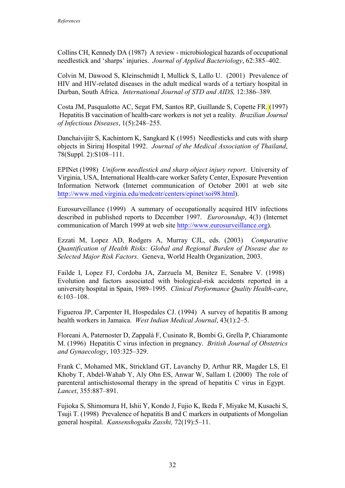Collins CH, Kennedy DA (1987) A review - microbiological hazards of occupational needlestick and 'sharps' injuries. *Journal of Applied Bacteriology*, 62:385–402.

Colvin M, Dawood S, Kleinschmidt I, Mullick S, Lallo U. (2001) Prevalence of HIV and HIV-related diseases in the adult medical wards of a tertiary hospital in Durban, South Africa. *International Journal of STD and AIDS,* 12:386–389.

Costa JM, Pasqualotto AC, Segat FM, Santos RP, Guillande S, Copette FR. (1997) Hepatitis B vaccination of health-care workers is not yet a reality. *Brazilian Journal of Infectious Diseases*, 1(5):248–255.

Danchaivijitr S, Kachintorn K, Sangkard K (1995) Needlesticks and cuts with sharp objects in Siriraj Hospital 1992. *Journal of the Medical Association of Thailand*, 78(Suppl. 2):S108–111.

EPINet (1998) *Uniform needlestick and sharp object injury report*. University of Virginia, USA, International Health-care worker Safety Center, Exposure Prevention Information Network (Internet communication of October 2001 at web site http://www.med.virginia.edu/medcntr/centers/epinet/soi98.html).

Eurosurveillance (1999) A summary of occupationally acquired HIV infections described in published reports to December 1997. *Euroroundup*, 4(3) (Internet communication of March 1999 at web site http://www.eurosurveillance.org).

Ezzati M, Lopez AD, Rodgers A, Murray CJL, eds. (2003) *Comparative Quantification of Health Risks: Global and Regional Burden of Disease due to Selected Major Risk Factors*. Geneva, World Health Organization, 2003.

Failde I, Lopez FJ, Cordoba JA, Zarzuela M, Benitez E, Senabre V. (1998) Evolution and factors associated with biological-risk accidents reported in a university hospital in Spain, 1989–1995. *Clinical Performance Quality Health-care*, 6:103–108.

Figueroa JP, Carpenter H, Hospedales CJ. (1994) A survey of hepatitis B among health workers in Jamaica. *West Indian Medical Journal*, 43(1):2–5.

Floreani A, Paternoster D, Zappalà F, Cusinato R, Bombi G, Grella P, Chiaramonte M. (1996) Hepatitis C virus infection in pregnancy. *British Journal of Obstetrics and Gynaecology*, 103:325–329.

Frank C, Mohamed MK, Strickland GT, Lavanchy D, Arthur RR, Magder LS, El Khoby T, Abdel-Wahab Y, Aly Ohn ES, Anwar W, Sallam I. (2000) The role of parenteral antischistosomal therapy in the spread of hepatitis C virus in Egypt. *Lancet*, 355:887–891.

Fujioka S, Shimomura H, Ishii Y, Kondo J, Fujio K, Ikeda F, Miyake M, Kusachi S, Tsuji T. (1998) Prevalence of hepatitis B and C markers in outpatients of Mongolian general hospital. *Kansenshogaku Zasshi,* 72(19):5–11.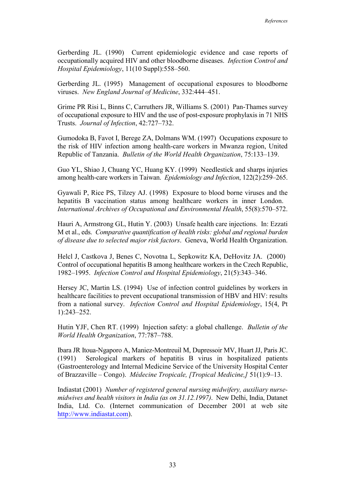Gerberding JL. (1990) Current epidemiologic evidence and case reports of occupationally acquired HIV and other bloodborne diseases. *Infection Control and Hospital Epidemiology*, 11(10 Suppl):558–560.

Gerberding JL. (1995) Management of occupational exposures to bloodborne viruses. *New England Journal of Medicine*, 332:444–451.

Grime PR Risi L, Binns C, Carruthers JR, Williams S. (2001) Pan-Thames survey of occupational exposure to HIV and the use of post-exposure prophylaxis in 71 NHS Trusts. *Journal of Infection*, 42:727–732.

Gumodoka B, Favot I, Berege ZA, Dolmans WM. (1997) Occupations exposure to the risk of HIV infection among health-care workers in Mwanza region, United Republic of Tanzania. *Bulletin of the World Health Organization*, 75:133–139.

Guo YL, Shiao J, Chuang YC, Huang KY. (1999) Needlestick and sharps injuries among health-care workers in Taiwan. *Epidemiology and Infection*, 122(2):259–265.

Gyawali P, Rice PS, Tilzey AJ. (1998) Exposure to blood borne viruses and the hepatitis B vaccination status among healthcare workers in inner London. *International Archives of Occupational and Environmental Health*, 55(8):570–572.

Hauri A, Armstrong GL, Hutin Y. (2003) Unsafe health care injections. In: Ezzati M et al., eds. *Comparative quantification of health risks: global and regional burden of disease due to selected major risk factors*. Geneva, World Health Organization.

Helcl J, Castkova J, Benes C, Novotna L, Sepkowitz KA, DeHovitz JA. (2000) Control of occupational hepatitis B among healthcare workers in the Czech Republic, 1982–1995. *Infection Control and Hospital Epidemiology*, 21(5):343–346.

Hersey JC, Martin LS. (1994) Use of infection control guidelines by workers in healthcare facilities to prevent occupational transmission of HBV and HIV: results from a national survey. *Infection Control and Hospital Epidemiology*, 15(4, Pt 1):243–252.

Hutin YJF, Chen RT. (1999) Injection safety: a global challenge. *Bulletin of the World Health Organization*, 77:787–788.

Ibara JR Itoua-Ngaporo A, Maniez-Montreuil M, Dupressoir MV, Huart JJ, Paris JC. (1991) Serological markers of hepatitis B virus in hospitalized patients (Gastroenterology and Internal Medicine Service of the University Hospital Center of Brazzaville – Congo). *Médecine Tropicale, [Tropical Medicine,]* 51(1):9–13.

Indiastat (2001) *Number of registered general nursing midwifery, auxiliary nursemidwives and health visitors in India (as on 31.12.1997)*. New Delhi, India, Datanet India, Ltd. Co. (Internet communication of December 2001 at web site http://www.indiastat.com).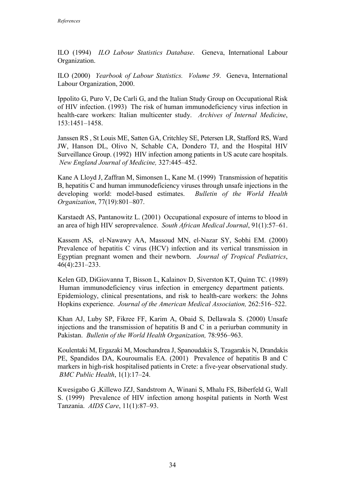ILO (1994) *ILO Labour Statistics Database*. Geneva, International Labour Organization.

ILO (2000) *Yearbook of Labour Statistics. Volume 59*. Geneva, International Labour Organization, 2000.

Ippolito G, Puro V, De Carli G, and the Italian Study Group on Occupational Risk of HIV infection. (1993) The risk of human immunodeficiency virus infection in health-care workers: Italian multicenter study. *Archives of Internal Medicine*, 153:1451–1458.

Janssen RS , St Louis ME, Satten GA, Critchley SE, Petersen LR, Stafford RS, Ward JW, Hanson DL, Olivo N, Schable CA, Dondero TJ, and the Hospital HIV Surveillance Group. (1992) HIV infection among patients in US acute care hospitals. *New England Journal of Medicine,* 327:445–452.

Kane A Lloyd J, Zaffran M, Simonsen L, Kane M. (1999) Transmission of hepatitis B, hepatitis C and human immunodeficiency viruses through unsafe injections in the developing world: model-based estimates. *Bulletin of the World Health Organization*, 77(19):801–807.

Karstaedt AS, Pantanowitz L. (2001) Occupational exposure of interns to blood in an area of high HIV seroprevalence. *South African Medical Journal*, 91(1):57–61.

Kassem AS, el-Nawawy AA, Massoud MN, el-Nazar SY, Sobhi EM. (2000) Prevalence of hepatitis C virus (HCV) infection and its vertical transmission in Egyptian pregnant women and their newborn. *Journal of Tropical Pediatrics*, 46(4):231–233.

Kelen GD, DiGiovanna T, Bisson L, Kalainov D, Siverston KT, Quinn TC. (1989) Human immunodeficiency virus infection in emergency department patients. Epidemiology, clinical presentations, and risk to health-care workers: the Johns Hopkins experience. *Journal of the American Medical Association,* 262:516–522.

Khan AJ, Luby SP, Fikree FF, Karim A, Obaid S, Dellawala S. (2000) Unsafe injections and the transmission of hepatitis B and C in a periurban community in Pakistan. *Bulletin of the World Health Organization,* 78:956–963.

Koulentaki M, Ergazaki M, Moschandrea J, Spanoudakis S, Tzagarakis N, Drandakis PE, Spandidos DA, Kouroumalis EA. (2001) Prevalence of hepatitis B and C markers in high-risk hospitalised patients in Crete: a five-year observational study. *BMC Public Health*, 1(1):17–24.

Kwesigabo G ,Killewo JZJ, Sandstrom A, Winani S, Mhalu FS, Biberfeld G, Wall S. (1999) Prevalence of HIV infection among hospital patients in North West Tanzania. *AIDS Care*, 11(1):87–93.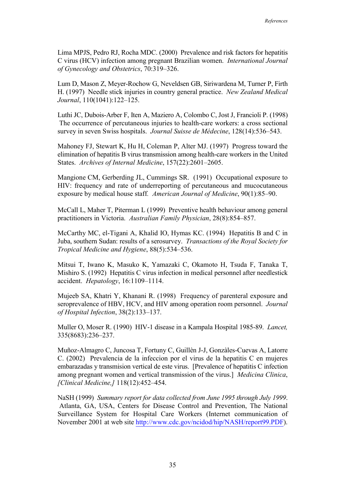Lima MPJS, Pedro RJ, Rocha MDC. (2000) Prevalence and risk factors for hepatitis C virus (HCV) infection among pregnant Brazilian women. *International Journal of Gynecology and Obstetrics*, 70:319–326.

Lum D, Mason Z, Meyer-Rochow G, Neveldsen GB, Siriwardena M, Turner P, Firth H. (1997) Needle stick injuries in country general practice. *New Zealand Medical Journal*, 110(1041):122–125.

Luthi JC, Dubois-Arber F, Iten A, Maziero A, Colombo C, Jost J, Francioli P. (1998) The occurrence of percutaneous injuries to health-care workers: a cross sectional survey in seven Swiss hospitals. *Journal Suisse de Médecine*, 128(14):536–543.

Mahoney FJ, Stewart K, Hu H, Coleman P, Alter MJ. (1997) Progress toward the elimination of hepatitis B virus transmission among health-care workers in the United States. *Archives of Internal Medicine*, 157(22):2601–2605.

Mangione CM, Gerberding JL, Cummings SR. (1991) Occupational exposure to HIV: frequency and rate of underreporting of percutaneous and mucocutaneous exposure by medical house staff*. American Journal of Medicine*, 90(1):85–90.

McCall L, Maher T, Piterman L (1999) Preventive health behaviour among general practitioners in Victoria. *Australian Family Physician*, 28(8):854–857.

McCarthy MC, el-Tigani A, Khalid IO, Hymas KC. (1994) Hepatitis B and C in Juba, southern Sudan: results of a serosurvey. *Transactions of the Royal Society for Tropical Medicine and Hygiene*, 88(5):534–536.

Mitsui T, Iwano K, Masuko K, Yamazaki C, Okamoto H, Tsuda F, Tanaka T, Mishiro S. (1992) Hepatitis C virus infection in medical personnel after needlestick accident. *Hepatology*, 16:1109–1114.

Mujeeb SA, Khatri Y, Khanani R. (1998) Frequency of parenteral exposure and seroprevalence of HBV, HCV, and HIV among operation room personnel. *Journal of Hospital Infection*, 38(2):133–137.

Muller O, Moser R. (1990) HIV-1 disease in a Kampala Hospital 1985-89. *Lancet,* 335(8683):236–237.

Muñoz-Almagro C, Juncosa T, Fortuny C, Guillèn J-J, Gonzàles-Cuevas A, Latorre C. (2002) Prevalencia de la infeccion por el virus de la hepatitis C en mujeres embarazadas y transmision vertical de este virus. [Prevalence of hepatitis C infection among pregnant women and vertical transmission of the virus.] *Medicina Clinica*, *[Clinical Medicine,]* 118(12):452–454.

NaSH (1999) *Summary report for data collected from June 1995 through July 1999*. Atlanta, GA, USA, Centers for Disease Control and Prevention, The National Surveillance System for Hospital Care Workers (Internet communication of November 2001 at web site http://www.cdc.gov/ncidod/hip/NASH/report99.PDF).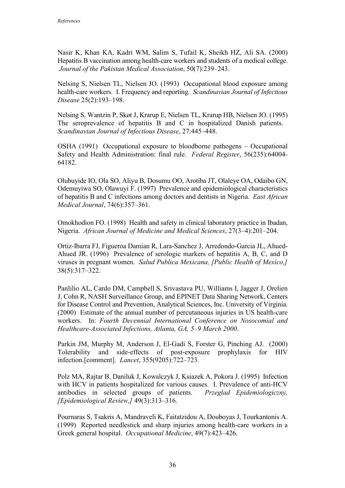Nasir K, Khan KA, Kadri WM, Salim S, Tufail K, Sheikh HZ, Ali SA. (2000) Hepatitis B vaccination among health-care workers and students of a medical college. *Journal of the Pakistan Medical Association*, 50(7):239–243.

Nelsing S, Nielsen TL, Nielsen JO. (1993) Occupational blood exposure among health-care workers. I. Frequency and reporting. *Scandinavian Journal of Infectious Disease* 25(2):193–198.

Nelsing S, Wantzin P, Skøt J, Krarup E, Nielsen TL, Krarup HB, Nielsen JO. (1995) The seroprevalence of hepatitis B and C in hospitalized Danish patients. *Scandinavian Journal of Infectious Disease*, 27:445–448.

OSHA (1991) Occupational exposure to bloodborne pathogens – Occupational Safety and Health Administration: final rule. *Federal Register*, 56(235):64004- 64182.

Olubuyide IO, Ola SO, Aliyu B, Dosumu OO, Arotiba JT, Olaleye OA, Odaibo GN, Odemuyiwa SO, Olawuyi F. (1997) Prevalence and epidemiological characteristics of hepatitis B and C infections among doctors and dentists in Nigeria. *East African Medical Journal*, 74(6):357–361.

Omokhodion FO. (1998) Health and safety in clinical laboratory practice in Ibadan, Nigeria. *African Journal of Medicine and Medical Sciences*, 27(3–4):201–204.

Ortiz-Ibarra FJ, Figueroa Damian R, Lara-Sanchez J, Arredondo-Garcia JL, Ahued-Ahued JR. (1996) Prevalence of serologic markers of hepatitis A, B, C, and D viruses in pregnant women. *Salud Publica Mexicana, [Public Health of Mexico,]* 38(5):317–322.

Panlilio AL, Cardo DM, Campbell S, Srivastava PU, Williams I, Jagger J, Orelien J, Cohn R, NASH Surveillance Group, and EPINET Data Sharing Network, Centers for Disease Control and Prevention, Analytical Sciences, Inc. University of Virginia. (2000) Estimate of the annual number of percutaneous injuries in US health-care workers. In: *Fourth Decennial International Conference on Nosocomial and Healthcare-Associated Infections, Atlanta, GA, 5–9 March 2000*.

Parkin JM, Murphy M, Anderson J, El-Gadi S, Forster G, Pinching AJ. (2000) Tolerability and side-effects of post-exposure prophylaxis for HIV infection.[comment]. *Lancet*, 355(9205):722–723.

Polz MA, Rajtar B, Daniluk J, Kowalczyk J, Ksiazek A, Pokora J. (1995) Infection with HCV in patients hospitalized for various causes. I. Prevalence of anti-HCV antibodies in selected groups of patients. *Przeglad Epidemiologiczny, [Epidemiological Review,]* 49(3):313–316.

Pournaras S, Tsakris A, Mandraveli K, Faitatzidou A, Douboyas J, Tourkantonis A. (1999) Reported needlestick and sharp injuries among health-care workers in a Greek general hospital. *Occupational Medicine*, 49(7):423–426.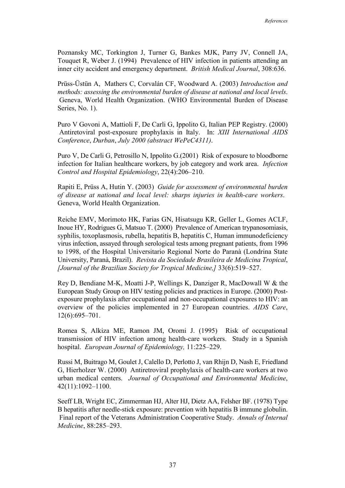Poznansky MC, Torkington J, Turner G, Bankes MJK, Parry JV, Connell JA, Touquet R, Weber J. (1994) Prevalence of HIV infection in patients attending an inner city accident and emergency department. *British Medical Journal*, 308:636.

Prüss-Üstün A, Mathers C, Corvalán CF, Woodward A. (2003) *Introduction and methods: assessing the environmental burden of disease at national and local levels*. Geneva, World Health Organization. (WHO Environmental Burden of Disease Series, No. 1).

Puro V Govoni A, Mattioli F, De Carli G, Ippolito G, Italian PEP Registry. (2000) Antiretoviral post-exposure prophylaxis in Italy. In: *XIII International AIDS Conference*, *Durban*, *July 2000 (abstract WePeC4311)*.

Puro V, De Carli G, Petrosillo N, Ippolito G.(2001) Risk of exposure to bloodborne infection for Italian healthcare workers, by job category and work area. *Infection Control and Hospital Epidemiology*, 22(4):206–210.

Rapiti E, Prüss A, Hutin Y. (2003) *Guide for assessment of environmental burden of disease at national and local level: sharps injuries in health-care workers*. Geneva, World Health Organization.

Reiche EMV, Morimoto HK, Farias GN, Hisatsugu KR, Geller L, Gomes ACLF, Inoue HY, Rodrigues G, Matsuo T. (2000) Prevalence of American trypanosomiasis, syphilis, toxoplasmosis, rubella, hepatitis B, hepatitis C, Human immunodeficiency virus infection, assayed through serological tests among pregnant patients, from 1996 to 1998, of the Hospital Universitario Regional Norte do Paranà (Londrina State University, Paranà, Brazil). *Revista da Sociedade Brasileira de Medicina Tropical*, *[Journal of the Brazilian Society for Tropical Medicine,]* 33(6):519–527.

Rey D, Bendiane M-K, Moatti J-P, Wellings K, Danziger R, MacDowall W & the European Study Group on HIV testing policies and practices in Europe. (2000) Postexposure prophylaxis after occupational and non-occupational exposures to HIV: an overview of the policies implemented in 27 European countries. *AIDS Care*, 12(6):695–701.

Romea S, Alkiza ME, Ramon JM, Oromi J. (1995) Risk of occupational transmission of HIV infection among health-care workers. Study in a Spanish hospital. *European Journal of Epidemiology,* 11:225–229.

Russi M, Buitrago M, Goulet J, Calello D, Perlotto J, van Rhijn D, Nash E, Friedland G, Hierholzer W. (2000) Antiretroviral prophylaxis of health-care workers at two urban medical centers. *Journal of Occupational and Environmental Medicine*, 42(11):1092–1100.

Seeff LB, Wright EC, Zimmerman HJ, Alter HJ, Dietz AA, Felsher BF. (1978) Type B hepatitis after needle-stick exposure: prevention with hepatitis B immune globulin. Final report of the Veterans Administration Cooperative Study. *Annals of Internal Medicine*, 88:285–293.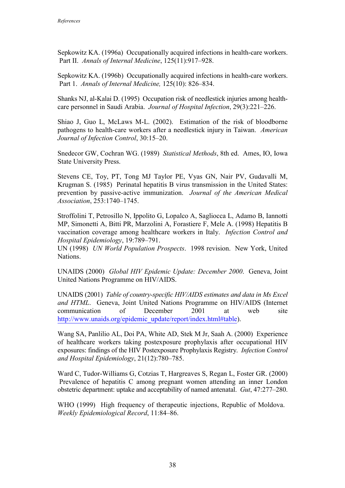Sepkowitz KA. (1996a) Occupationally acquired infections in health-care workers. Part II. *Annals of Internal Medicine*, 125(11):917–928.

Sepkowitz KA. (1996b) Occupationally acquired infections in health-care workers. Part 1. *Annals of Internal Medicine,* 125(10): 826–834.

Shanks NJ, al-Kalai D. (1995) Occupation risk of needlestick injuries among healthcare personnel in Saudi Arabia. *Journal of Hospital Infection*, 29(3):221–226.

Shiao J, Guo L, McLaws M-L. (2002). Estimation of the risk of bloodborne pathogens to health-care workers after a needlestick injury in Taiwan. *American Journal of Infection Control*, 30:15–20.

Snedecor GW, Cochran WG. (1989) *Statistical Methods*, 8th ed. Ames, IO, Iowa State University Press.

Stevens CE, Toy, PT, Tong MJ Taylor PE, Vyas GN, Nair PV, Gudavalli M, Krugman S. (1985) Perinatal hepatitis B virus transmission in the United States: prevention by passive-active immunization. *Journal of the American Medical Association*, 253:1740–1745.

Stroffolini T, Petrosillo N, Ippolito G, Lopalco A, Sagliocca L, Adamo B, Iannotti MP, Simonetti A, Bitti PR, Marzolini A, Forastiere F, Mele A. (1998) Hepatitis B vaccination coverage among healthcare workers in Italy. *Infection Control and Hospital Epidemiology*, 19:789–791.

UN (1998) *UN World Population Prospects*. 1998 revision. New York, United Nations.

UNAIDS (2000) *Global HIV Epidemic Update: December 2000*. Geneva, Joint United Nations Programme on HIV/AIDS.

UNAIDS (2001) *Table of country-specific HIV/AIDS estimates and data in Ms Excel and HTML*. Geneva, Joint United Nations Programme on HIV/AIDS (Internet communication of December 2001 at web site http://www.unaids.org/epidemic\_update/report/index.html#table).

Wang SA, Panlilio AL, Doi PA, White AD, Stek M Jr, Saah A. (2000) Experience of healthcare workers taking postexposure prophylaxis after occupational HIV exposures: findings of the HIV Postexposure Prophylaxis Registry. *Infection Control and Hospital Epidemiology*, 21(12):780–785.

Ward C, Tudor-Williams G, Cotzias T, Hargreaves S, Regan L, Foster GR. (2000) Prevalence of hepatitis C among pregnant women attending an inner London obstetric department: uptake and acceptability of named antenatal. *Gut*, 47:277–280.

WHO (1999) High frequency of therapeutic injections, Republic of Moldova. *Weekly Epidemiological Record*, 11:84–86.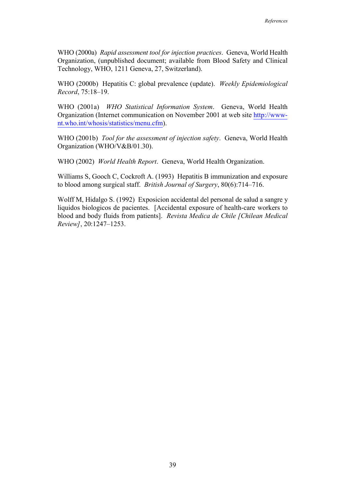WHO (2000a) *Rapid assessment tool for injection practices*. Geneva, World Health Organization, (unpublished document; available from Blood Safety and Clinical Technology, WHO, 1211 Geneva, 27, Switzerland).

WHO (2000b) Hepatitis C: global prevalence (update). *Weekly Epidemiological Record*, 75:18–19.

WHO (2001a) *WHO Statistical Information System*. Geneva, World Health Organization (Internet communication on November 2001 at web site http://wwwnt.who.int/whosis/statistics/menu.cfm).

WHO (2001b) *Tool for the assessment of injection safety*. Geneva, World Health Organization (WHO/V&B/01.30).

WHO (2002) *World Health Report*. Geneva, World Health Organization.

Williams S, Gooch C, Cockroft A. (1993) Hepatitis B immunization and exposure to blood among surgical staff. *British Journal of Surgery*, 80(6):714–716.

Wolff M, Hidalgo S. (1992) Exposicion accidental del personal de salud a sangre y liquidos biologicos de pacientes. [Accidental exposure of health-care workers to blood and body fluids from patients]. *Revista Medica de Chile [Chilean Medical Review]*, 20:1247–1253.